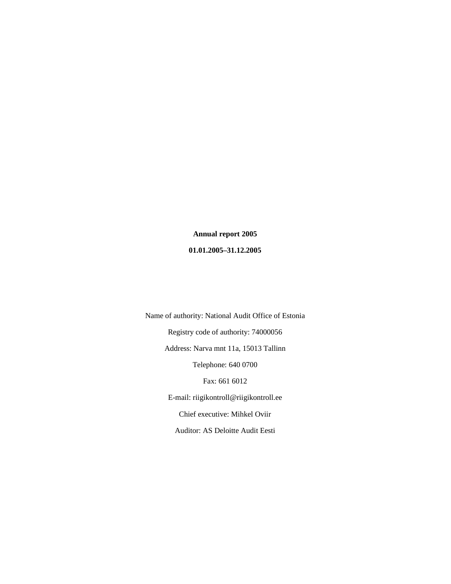**Annual report 2005 01.01.2005–31.12.2005**

Name of authority: National Audit Office of Estonia Registry code of authority: 74000056 Address: Narva mnt 11a, 15013 Tallinn Telephone: 640 0700 Fax: 661 6012 E-mail: riigikontroll@riigikontroll.ee Chief executive: Mihkel Oviir Auditor: AS Deloitte Audit Eesti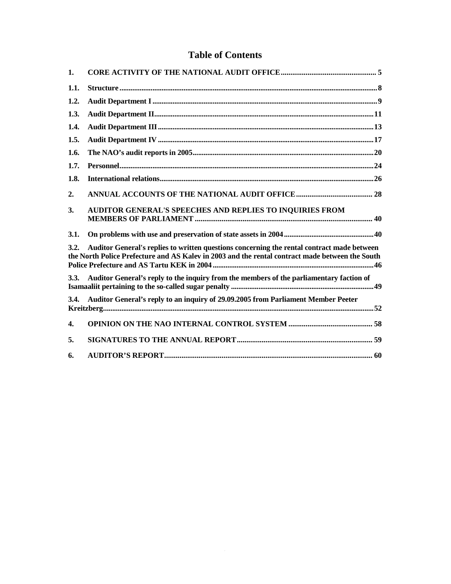## **Table of Contents**

| $\mathbf{1}$ . |                                                                                                                                                                                               |
|----------------|-----------------------------------------------------------------------------------------------------------------------------------------------------------------------------------------------|
| 1.1.           |                                                                                                                                                                                               |
| 1.2.           |                                                                                                                                                                                               |
| 1.3.           |                                                                                                                                                                                               |
| 1.4.           |                                                                                                                                                                                               |
| 1.5.           |                                                                                                                                                                                               |
| 1.6.           |                                                                                                                                                                                               |
| 1.7.           |                                                                                                                                                                                               |
| 1.8.           |                                                                                                                                                                                               |
| 2.             |                                                                                                                                                                                               |
| 3.             | <b>AUDITOR GENERAL'S SPEECHES AND REPLIES TO INQUIRIES FROM</b>                                                                                                                               |
| 3.1.           |                                                                                                                                                                                               |
| 3.2.           | Auditor General's replies to written questions concerning the rental contract made between<br>the North Police Prefecture and AS Kalev in 2003 and the rental contract made between the South |
| 3.3.           | Auditor General's reply to the inquiry from the members of the parliamentary faction of                                                                                                       |
| 3.4.           | Auditor General's reply to an inquiry of 29.09.2005 from Parliament Member Peeter                                                                                                             |
| $\mathbf{4}$   |                                                                                                                                                                                               |
| 5.             |                                                                                                                                                                                               |
| 6.             |                                                                                                                                                                                               |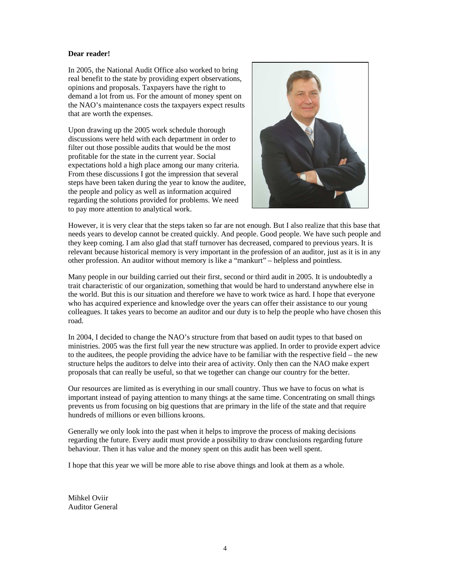#### **Dear reader!**

In 2005, the National Audit Office also worked to bring real benefit to the state by providing expert observations, opinions and proposals. Taxpayers have the right to demand a lot from us. For the amount of money spent on the NAO's maintenance costs the taxpayers expect results that are worth the expenses.

Upon drawing up the 2005 work schedule thorough discussions were held with each department in order to filter out those possible audits that would be the most profitable for the state in the current year. Social expectations hold a high place among our many criteria. From these discussions I got the impression that several steps have been taken during the year to know the auditee, the people and policy as well as information acquired regarding the solutions provided for problems. We need to pay more attention to analytical work.



However, it is very clear that the steps taken so far are not enough. But I also realize that this base that needs years to develop cannot be created quickly. And people. Good people. We have such people and they keep coming. I am also glad that staff turnover has decreased, compared to previous years. It is relevant because historical memory is very important in the profession of an auditor, just as it is in any other profession. An auditor without memory is like a "mankurt" – helpless and pointless.

Many people in our building carried out their first, second or third audit in 2005. It is undoubtedly a trait characteristic of our organization, something that would be hard to understand anywhere else in the world. But this is our situation and therefore we have to work twice as hard. I hope that everyone who has acquired experience and knowledge over the years can offer their assistance to our young colleagues. It takes years to become an auditor and our duty is to help the people who have chosen this road.

In 2004, I decided to change the NAO's structure from that based on audit types to that based on ministries. 2005 was the first full year the new structure was applied. In order to provide expert advice to the auditees, the people providing the advice have to be familiar with the respective field – the new structure helps the auditors to delve into their area of activity. Only then can the NAO make expert proposals that can really be useful, so that we together can change our country for the better.

Our resources are limited as is everything in our small country. Thus we have to focus on what is important instead of paying attention to many things at the same time. Concentrating on small things prevents us from focusing on big questions that are primary in the life of the state and that require hundreds of millions or even billions kroons.

Generally we only look into the past when it helps to improve the process of making decisions regarding the future. Every audit must provide a possibility to draw conclusions regarding future behaviour. Then it has value and the money spent on this audit has been well spent.

I hope that this year we will be more able to rise above things and look at them as a whole.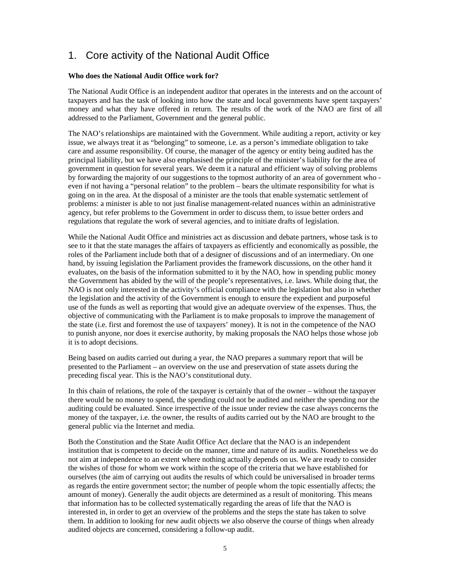## 1. Core activity of the National Audit Office

#### **Who does the National Audit Office work for?**

The National Audit Office is an independent auditor that operates in the interests and on the account of taxpayers and has the task of looking into how the state and local governments have spent taxpayers' money and what they have offered in return. The results of the work of the NAO are first of all addressed to the Parliament, Government and the general public.

The NAO's relationships are maintained with the Government. While auditing a report, activity or key issue, we always treat it as "belonging" to someone, i.e. as a person's immediate obligation to take care and assume responsibility. Of course, the manager of the agency or entity being audited has the principal liability, but we have also emphasised the principle of the minister's liability for the area of government in question for several years. We deem it a natural and efficient way of solving problems by forwarding the majority of our suggestions to the topmost authority of an area of government who even if not having a "personal relation" to the problem – bears the ultimate responsibility for what is going on in the area. At the disposal of a minister are the tools that enable systematic settlement of problems: a minister is able to not just finalise management-related nuances within an administrative agency, but refer problems to the Government in order to discuss them, to issue better orders and regulations that regulate the work of several agencies, and to initiate drafts of legislation.

While the National Audit Office and ministries act as discussion and debate partners, whose task is to see to it that the state manages the affairs of taxpayers as efficiently and economically as possible, the roles of the Parliament include both that of a designer of discussions and of an intermediary. On one hand, by issuing legislation the Parliament provides the framework discussions, on the other hand it evaluates, on the basis of the information submitted to it by the NAO, how in spending public money the Government has abided by the will of the people's representatives, i.e. laws. While doing that, the NAO is not only interested in the activity's official compliance with the legislation but also in whether the legislation and the activity of the Government is enough to ensure the expedient and purposeful use of the funds as well as reporting that would give an adequate overview of the expenses. Thus, the objective of communicating with the Parliament is to make proposals to improve the management of the state (i.e. first and foremost the use of taxpayers' money). It is not in the competence of the NAO to punish anyone, nor does it exercise authority, by making proposals the NAO helps those whose job it is to adopt decisions.

Being based on audits carried out during a year, the NAO prepares a summary report that will be presented to the Parliament – an overview on the use and preservation of state assets during the preceding fiscal year. This is the NAO's constitutional duty.

In this chain of relations, the role of the taxpayer is certainly that of the owner – without the taxpayer there would be no money to spend, the spending could not be audited and neither the spending nor the auditing could be evaluated. Since irrespective of the issue under review the case always concerns the money of the taxpayer, i.e. the owner, the results of audits carried out by the NAO are brought to the general public via the Internet and media.

Both the Constitution and the State Audit Office Act declare that the NAO is an independent institution that is competent to decide on the manner, time and nature of its audits. Nonetheless we do not aim at independence to an extent where nothing actually depends on us. We are ready to consider the wishes of those for whom we work within the scope of the criteria that we have established for ourselves (the aim of carrying out audits the results of which could be universalised in broader terms as regards the entire government sector; the number of people whom the topic essentially affects; the amount of money). Generally the audit objects are determined as a result of monitoring. This means that information has to be collected systematically regarding the areas of life that the NAO is interested in, in order to get an overview of the problems and the steps the state has taken to solve them. In addition to looking for new audit objects we also observe the course of things when already audited objects are concerned, considering a follow-up audit.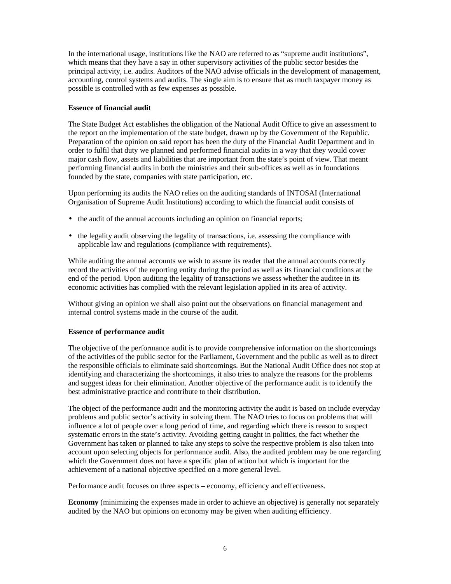In the international usage, institutions like the NAO are referred to as "supreme audit institutions". which means that they have a say in other supervisory activities of the public sector besides the principal activity, i.e. audits. Auditors of the NAO advise officials in the development of management, accounting, control systems and audits. The single aim is to ensure that as much taxpayer money as possible is controlled with as few expenses as possible.

#### **Essence of financial audit**

The State Budget Act establishes the obligation of the National Audit Office to give an assessment to the report on the implementation of the state budget, drawn up by the Government of the Republic. Preparation of the opinion on said report has been the duty of the Financial Audit Department and in order to fulfil that duty we planned and performed financial audits in a way that they would cover major cash flow, assets and liabilities that are important from the state's point of view. That meant performing financial audits in both the ministries and their sub-offices as well as in foundations founded by the state, companies with state participation, etc.

Upon performing its audits the NAO relies on the auditing standards of INTOSAI (International Organisation of Supreme Audit Institutions) according to which the financial audit consists of

- the audit of the annual accounts including an opinion on financial reports;
- the legality audit observing the legality of transactions, i.e. assessing the compliance with applicable law and regulations (compliance with requirements).

While auditing the annual accounts we wish to assure its reader that the annual accounts correctly record the activities of the reporting entity during the period as well as its financial conditions at the end of the period. Upon auditing the legality of transactions we assess whether the auditee in its economic activities has complied with the relevant legislation applied in its area of activity.

Without giving an opinion we shall also point out the observations on financial management and internal control systems made in the course of the audit.

#### **Essence of performance audit**

The objective of the performance audit is to provide comprehensive information on the shortcomings of the activities of the public sector for the Parliament, Government and the public as well as to direct the responsible officials to eliminate said shortcomings. But the National Audit Office does not stop at identifying and characterizing the shortcomings, it also tries to analyze the reasons for the problems and suggest ideas for their elimination. Another objective of the performance audit is to identify the best administrative practice and contribute to their distribution.

The object of the performance audit and the monitoring activity the audit is based on include everyday problems and public sector's activity in solving them. The NAO tries to focus on problems that will influence a lot of people over a long period of time, and regarding which there is reason to suspect systematic errors in the state's activity. Avoiding getting caught in politics, the fact whether the Government has taken or planned to take any steps to solve the respective problem is also taken into account upon selecting objects for performance audit. Also, the audited problem may be one regarding which the Government does not have a specific plan of action but which is important for the achievement of a national objective specified on a more general level.

Performance audit focuses on three aspects – economy, efficiency and effectiveness.

**Economy** (minimizing the expenses made in order to achieve an objective) is generally not separately audited by the NAO but opinions on economy may be given when auditing efficiency.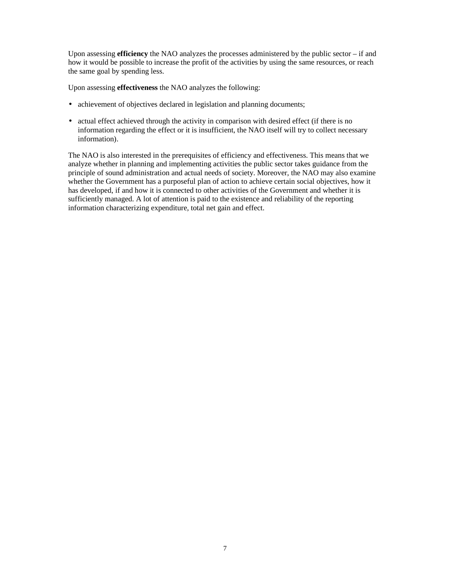Upon assessing **efficiency** the NAO analyzes the processes administered by the public sector – if and how it would be possible to increase the profit of the activities by using the same resources, or reach the same goal by spending less.

Upon assessing **effectiveness** the NAO analyzes the following:

- achievement of objectives declared in legislation and planning documents;
- actual effect achieved through the activity in comparison with desired effect (if there is no information regarding the effect or it is insufficient, the NAO itself will try to collect necessary information).

The NAO is also interested in the prerequisites of efficiency and effectiveness. This means that we analyze whether in planning and implementing activities the public sector takes guidance from the principle of sound administration and actual needs of society. Moreover, the NAO may also examine whether the Government has a purposeful plan of action to achieve certain social objectives, how it has developed, if and how it is connected to other activities of the Government and whether it is sufficiently managed. A lot of attention is paid to the existence and reliability of the reporting information characterizing expenditure, total net gain and effect.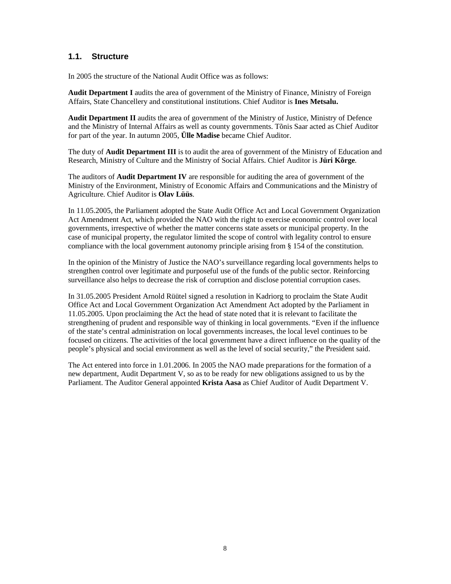## **1.1. Structure**

In 2005 the structure of the National Audit Office was as follows:

**Audit Department I** audits the area of government of the Ministry of Finance, Ministry of Foreign Affairs, State Chancellery and constitutional institutions. Chief Auditor is **Ines Metsalu.** 

**Audit Department II** audits the area of government of the Ministry of Justice, Ministry of Defence and the Ministry of Internal Affairs as well as county governments. Tõnis Saar acted as Chief Auditor for part of the year. In autumn 2005, **Ülle Madise** became Chief Auditor.

The duty of **Audit Department III** is to audit the area of government of the Ministry of Education and Research, Ministry of Culture and the Ministry of Social Affairs. Chief Auditor is **Jüri Kõrge**.

The auditors of **Audit Department IV** are responsible for auditing the area of government of the Ministry of the Environment, Ministry of Economic Affairs and Communications and the Ministry of Agriculture. Chief Auditor is **Olav Lüüs**.

In 11.05.2005, the Parliament adopted the State Audit Office Act and Local Government Organization Act Amendment Act, which provided the NAO with the right to exercise economic control over local governments, irrespective of whether the matter concerns state assets or municipal property. In the case of municipal property, the regulator limited the scope of control with legality control to ensure compliance with the local government autonomy principle arising from § 154 of the constitution.

In the opinion of the Ministry of Justice the NAO's surveillance regarding local governments helps to strengthen control over legitimate and purposeful use of the funds of the public sector. Reinforcing surveillance also helps to decrease the risk of corruption and disclose potential corruption cases.

In 31.05.2005 President Arnold Rüütel signed a resolution in Kadriorg to proclaim the State Audit Office Act and Local Government Organization Act Amendment Act adopted by the Parliament in 11.05.2005. Upon proclaiming the Act the head of state noted that it is relevant to facilitate the strengthening of prudent and responsible way of thinking in local governments. "Even if the influence of the state's central administration on local governments increases, the local level continues to be focused on citizens. The activities of the local government have a direct influence on the quality of the people's physical and social environment as well as the level of social security," the President said.

The Act entered into force in 1.01.2006. In 2005 the NAO made preparations for the formation of a new department, Audit Department V, so as to be ready for new obligations assigned to us by the Parliament. The Auditor General appointed **Krista Aasa** as Chief Auditor of Audit Department V.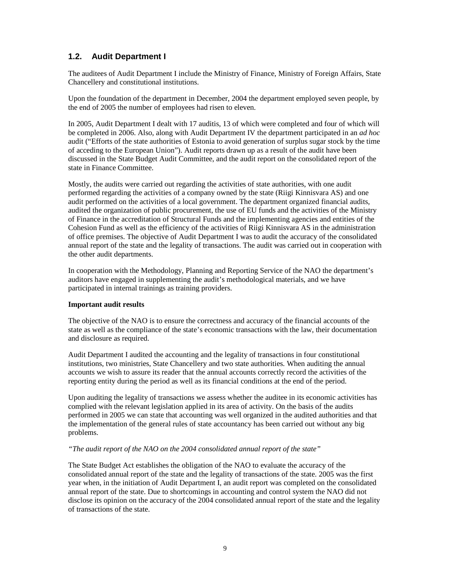## **1.2. Audit Department I**

The auditees of Audit Department I include the Ministry of Finance, Ministry of Foreign Affairs, State Chancellery and constitutional institutions.

Upon the foundation of the department in December, 2004 the department employed seven people, by the end of 2005 the number of employees had risen to eleven.

In 2005, Audit Department I dealt with 17 auditis, 13 of which were completed and four of which will be completed in 2006. Also, along with Audit Department IV the department participated in an *ad hoc* audit ("Efforts of the state authorities of Estonia to avoid generation of surplus sugar stock by the time of acceding to the European Union"). Audit reports drawn up as a result of the audit have been discussed in the State Budget Audit Committee, and the audit report on the consolidated report of the state in Finance Committee.

Mostly, the audits were carried out regarding the activities of state authorities, with one audit performed regarding the activities of a company owned by the state (Riigi Kinnisvara AS) and one audit performed on the activities of a local government. The department organized financial audits, audited the organization of public procurement, the use of EU funds and the activities of the Ministry of Finance in the accreditation of Structural Funds and the implementing agencies and entities of the Cohesion Fund as well as the efficiency of the activities of Riigi Kinnisvara AS in the administration of office premises. The objective of Audit Department I was to audit the accuracy of the consolidated annual report of the state and the legality of transactions. The audit was carried out in cooperation with the other audit departments.

In cooperation with the Methodology, Planning and Reporting Service of the NAO the department's auditors have engaged in supplementing the audit's methodological materials, and we have participated in internal trainings as training providers.

#### **Important audit results**

The objective of the NAO is to ensure the correctness and accuracy of the financial accounts of the state as well as the compliance of the state's economic transactions with the law, their documentation and disclosure as required.

Audit Department I audited the accounting and the legality of transactions in four constitutional institutions, two ministries, State Chancellery and two state authorities. When auditing the annual accounts we wish to assure its reader that the annual accounts correctly record the activities of the reporting entity during the period as well as its financial conditions at the end of the period.

Upon auditing the legality of transactions we assess whether the auditee in its economic activities has complied with the relevant legislation applied in its area of activity. On the basis of the audits performed in 2005 we can state that accounting was well organized in the audited authorities and that the implementation of the general rules of state accountancy has been carried out without any big problems.

#### *"The audit report of the NAO on the 2004 consolidated annual report of the state"*

The State Budget Act establishes the obligation of the NAO to evaluate the accuracy of the consolidated annual report of the state and the legality of transactions of the state. 2005 was the first year when, in the initiation of Audit Department I, an audit report was completed on the consolidated annual report of the state. Due to shortcomings in accounting and control system the NAO did not disclose its opinion on the accuracy of the 2004 consolidated annual report of the state and the legality of transactions of the state.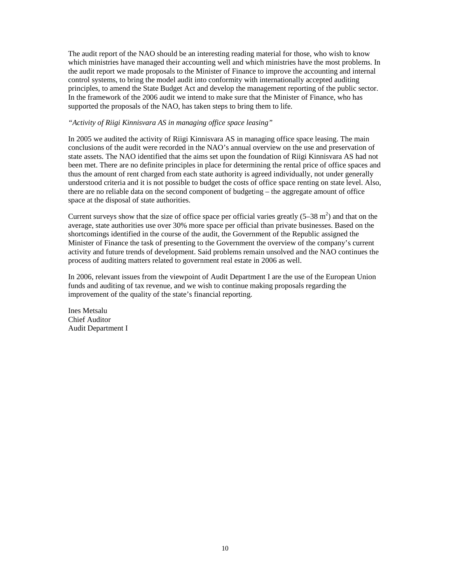The audit report of the NAO should be an interesting reading material for those, who wish to know which ministries have managed their accounting well and which ministries have the most problems. In the audit report we made proposals to the Minister of Finance to improve the accounting and internal control systems, to bring the model audit into conformity with internationally accepted auditing principles, to amend the State Budget Act and develop the management reporting of the public sector. In the framework of the 2006 audit we intend to make sure that the Minister of Finance, who has supported the proposals of the NAO, has taken steps to bring them to life.

#### *"Activity of Riigi Kinnisvara AS in managing office space leasing"*

In 2005 we audited the activity of Riigi Kinnisvara AS in managing office space leasing. The main conclusions of the audit were recorded in the NAO's annual overview on the use and preservation of state assets. The NAO identified that the aims set upon the foundation of Riigi Kinnisvara AS had not been met. There are no definite principles in place for determining the rental price of office spaces and thus the amount of rent charged from each state authority is agreed individually, not under generally understood criteria and it is not possible to budget the costs of office space renting on state level. Also, there are no reliable data on the second component of budgeting – the aggregate amount of office space at the disposal of state authorities.

Current surveys show that the size of office space per official varies greatly  $(5-38 \text{ m}^2)$  and that on the average, state authorities use over 30% more space per official than private businesses. Based on the shortcomings identified in the course of the audit, the Government of the Republic assigned the Minister of Finance the task of presenting to the Government the overview of the company's current activity and future trends of development. Said problems remain unsolved and the NAO continues the process of auditing matters related to government real estate in 2006 as well.

In 2006, relevant issues from the viewpoint of Audit Department I are the use of the European Union funds and auditing of tax revenue, and we wish to continue making proposals regarding the improvement of the quality of the state's financial reporting.

Ines Metsalu Chief Auditor Audit Department I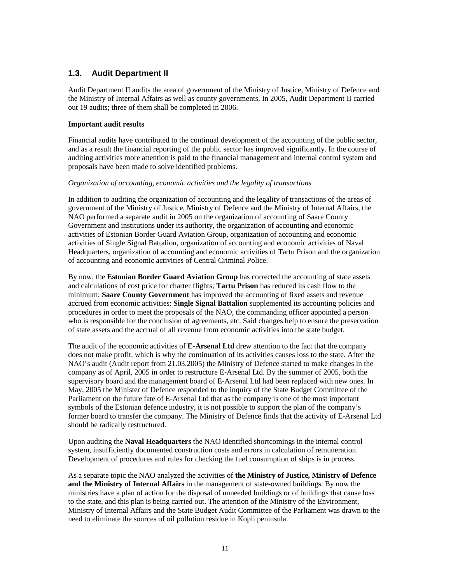## **1.3. Audit Department II**

Audit Department II audits the area of government of the Ministry of Justice, Ministry of Defence and the Ministry of Internal Affairs as well as county governments. In 2005, Audit Department II carried out 19 audits; three of them shall be completed in 2006.

#### **Important audit results**

Financial audits have contributed to the continual development of the accounting of the public sector, and as a result the financial reporting of the public sector has improved significantly. In the course of auditing activities more attention is paid to the financial management and internal control system and proposals have been made to solve identified problems.

#### *Organization of accounting, economic activities and the legality of transactions*

In addition to auditing the organization of accounting and the legality of transactions of the areas of government of the Ministry of Justice, Ministry of Defence and the Ministry of Internal Affairs, the NAO performed a separate audit in 2005 on the organization of accounting of Saare County Government and institutions under its authority, the organization of accounting and economic activities of Estonian Border Guard Aviation Group, organization of accounting and economic activities of Single Signal Battalion, organization of accounting and economic activities of Naval Headquarters, organization of accounting and economic activities of Tartu Prison and the organization of accounting and economic activities of Central Criminal Police.

By now, the **Estonian Border Guard Aviation Group** has corrected the accounting of state assets and calculations of cost price for charter flights; **Tartu Prison** has reduced its cash flow to the minimum; **Saare County Government** has improved the accounting of fixed assets and revenue accrued from economic activities; **Single Signal Battalion** supplemented its accounting policies and procedures in order to meet the proposals of the NAO, the commanding officer appointed a person who is responsible for the conclusion of agreements, etc. Said changes help to ensure the preservation of state assets and the accrual of all revenue from economic activities into the state budget.

The audit of the economic activities of **E-Arsenal Ltd** drew attention to the fact that the company does not make profit, which is why the continuation of its activities causes loss to the state. After the NAO's audit (Audit report from 21.03.2005) the Ministry of Defence started to make changes in the company as of April, 2005 in order to restructure E-Arsenal Ltd. By the summer of 2005, both the supervisory board and the management board of E-Arsenal Ltd had been replaced with new ones. In May, 2005 the Minister of Defence responded to the inquiry of the State Budget Committee of the Parliament on the future fate of E-Arsenal Ltd that as the company is one of the most important symbols of the Estonian defence industry, it is not possible to support the plan of the company's former board to transfer the company. The Ministry of Defence finds that the activity of E-Arsenal Ltd should be radically restructured.

Upon auditing the **Naval Headquarters** the NAO identified shortcomings in the internal control system, insufficiently documented construction costs and errors in calculation of remuneration. Development of procedures and rules for checking the fuel consumption of ships is in process.

As a separate topic the NAO analyzed the activities of **the Ministry of Justice, Ministry of Defence and the Ministry of Internal Affairs** in the management of state-owned buildings. By now the ministries have a plan of action for the disposal of unneeded buildings or of buildings that cause loss to the state, and this plan is being carried out. The attention of the Ministry of the Environment, Ministry of Internal Affairs and the State Budget Audit Committee of the Parliament was drawn to the need to eliminate the sources of oil pollution residue in Kopli peninsula.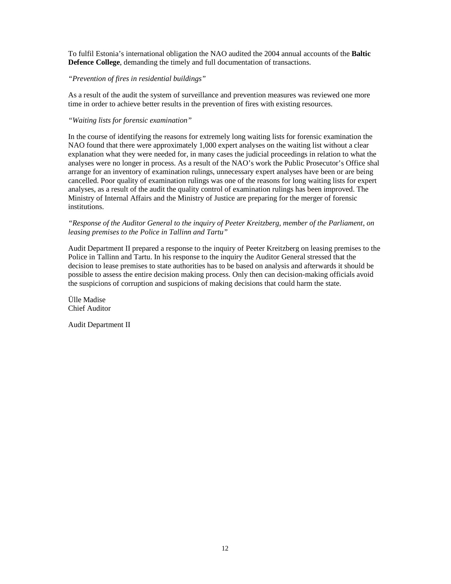To fulfil Estonia's international obligation the NAO audited the 2004 annual accounts of the **Baltic Defence College**, demanding the timely and full documentation of transactions.

#### *"Prevention of fires in residential buildings"*

As a result of the audit the system of surveillance and prevention measures was reviewed one more time in order to achieve better results in the prevention of fires with existing resources.

#### *"Waiting lists for forensic examination"*

In the course of identifying the reasons for extremely long waiting lists for forensic examination the NAO found that there were approximately 1,000 expert analyses on the waiting list without a clear explanation what they were needed for, in many cases the judicial proceedings in relation to what the analyses were no longer in process. As a result of the NAO's work the Public Prosecutor's Office shal arrange for an inventory of examination rulings, unnecessary expert analyses have been or are being cancelled. Poor quality of examination rulings was one of the reasons for long waiting lists for expert analyses, as a result of the audit the quality control of examination rulings has been improved. The Ministry of Internal Affairs and the Ministry of Justice are preparing for the merger of forensic institutions.

#### *"Response of the Auditor General to the inquiry of Peeter Kreitzberg, member of the Parliament, on leasing premises to the Police in Tallinn and Tartu"*

Audit Department II prepared a response to the inquiry of Peeter Kreitzberg on leasing premises to the Police in Tallinn and Tartu. In his response to the inquiry the Auditor General stressed that the decision to lease premises to state authorities has to be based on analysis and afterwards it should be possible to assess the entire decision making process. Only then can decision-making officials avoid the suspicions of corruption and suspicions of making decisions that could harm the state.

Ülle Madise Chief Auditor

Audit Department II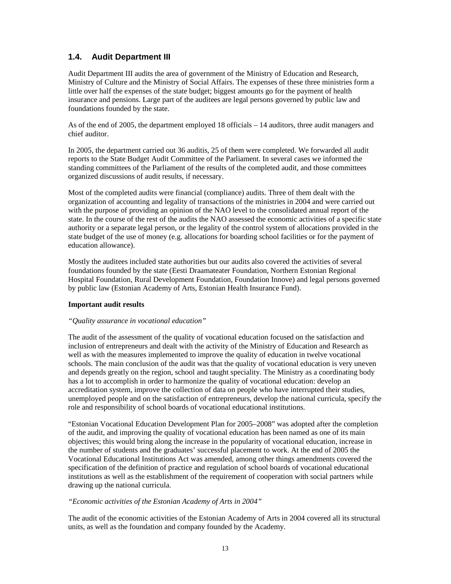## **1.4. Audit Department III**

Audit Department III audits the area of government of the Ministry of Education and Research, Ministry of Culture and the Ministry of Social Affairs. The expenses of these three ministries form a little over half the expenses of the state budget; biggest amounts go for the payment of health insurance and pensions. Large part of the auditees are legal persons governed by public law and foundations founded by the state.

As of the end of 2005, the department employed 18 officials – 14 auditors, three audit managers and chief auditor.

In 2005, the department carried out 36 auditis, 25 of them were completed. We forwarded all audit reports to the State Budget Audit Committee of the Parliament. In several cases we informed the standing committees of the Parliament of the results of the completed audit, and those committees organized discussions of audit results, if necessary.

Most of the completed audits were financial (compliance) audits. Three of them dealt with the organization of accounting and legality of transactions of the ministries in 2004 and were carried out with the purpose of providing an opinion of the NAO level to the consolidated annual report of the state. In the course of the rest of the audits the NAO assessed the economic activities of a specific state authority or a separate legal person, or the legality of the control system of allocations provided in the state budget of the use of money (e.g. allocations for boarding school facilities or for the payment of education allowance).

Mostly the auditees included state authorities but our audits also covered the activities of several foundations founded by the state (Eesti Draamateater Foundation, Northern Estonian Regional Hospital Foundation, Rural Development Foundation, Foundation Innove) and legal persons governed by public law (Estonian Academy of Arts, Estonian Health Insurance Fund).

#### **Important audit results**

#### *"Quality assurance in vocational education"*

The audit of the assessment of the quality of vocational education focused on the satisfaction and inclusion of entrepreneurs and dealt with the activity of the Ministry of Education and Research as well as with the measures implemented to improve the quality of education in twelve vocational schools. The main conclusion of the audit was that the quality of vocational education is very uneven and depends greatly on the region, school and taught speciality. The Ministry as a coordinating body has a lot to accomplish in order to harmonize the quality of vocational education: develop an accreditation system, improve the collection of data on people who have interrupted their studies, unemployed people and on the satisfaction of entrepreneurs, develop the national curricula, specify the role and responsibility of school boards of vocational educational institutions.

"Estonian Vocational Education Development Plan for 2005–2008" was adopted after the completion of the audit, and improving the quality of vocational education has been named as one of its main objectives; this would bring along the increase in the popularity of vocational education, increase in the number of students and the graduates' successful placement to work. At the end of 2005 the Vocational Educational Institutions Act was amended, among other things amendments covered the specification of the definition of practice and regulation of school boards of vocational educational institutions as well as the establishment of the requirement of cooperation with social partners while drawing up the national curricula.

#### *"Economic activities of the Estonian Academy of Arts in 2004"*

The audit of the economic activities of the Estonian Academy of Arts in 2004 covered all its structural units, as well as the foundation and company founded by the Academy.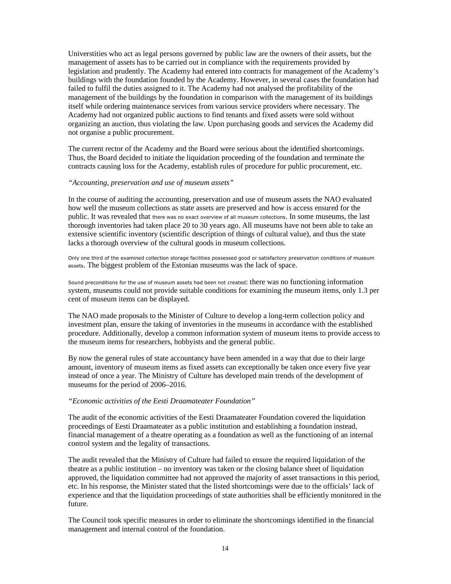Universtities who act as legal persons governed by public law are the owners of their assets, but the management of assets has to be carried out in compliance with the requirements provided by legislation and prudently. The Academy had entered into contracts for management of the Academy's buildings with the foundation founded by the Academy. However, in several cases the foundation had failed to fulfil the duties assigned to it. The Academy had not analysed the profitability of the management of the buildings by the foundation in comparison with the management of its buildings itself while ordering maintenance services from various service providers where necessary. The Academy had not organized public auctions to find tenants and fixed assets were sold without organizing an auction, thus violating the law. Upon purchasing goods and services the Academy did not organise a public procurement.

The current rector of the Academy and the Board were serious about the identified shortcomings. Thus, the Board decided to initiate the liquidation proceeding of the foundation and terminate the contracts causing loss for the Academy, establish rules of procedure for public procurement, etc.

#### *"Accounting, preservation and use of museum assets"*

In the course of auditing the accounting, preservation and use of museum assets the NAO evaluated how well the museum collections as state assets are preserved and how is access ensured for the public. It was revealed that there was no exact overview of all museum collections. In some museums, the last thorough inventories had taken place 20 to 30 years ago. All museums have not been able to take an extensive scientific inventory (scientific description of things of cultural value), and thus the state lacks a thorough overview of the cultural goods in museum collections.

Only one third of the examined collection storage facilities possessed good or satisfactory preservation conditions of museum assets. The biggest problem of the Estonian museums was the lack of space.

Sound preconditions for the use of museum assets had been not created: there was no functioning information system, museums could not provide suitable conditions for examining the museum items, only 1.3 per cent of museum items can be displayed.

The NAO made proposals to the Minister of Culture to develop a long-term collection policy and investment plan, ensure the taking of inventories in the museums in accordance with the established procedure. Additionally, develop a common information system of museum items to provide access to the museum items for researchers, hobbyists and the general public.

By now the general rules of state accountancy have been amended in a way that due to their large amount, inventory of museum items as fixed assets can exceptionally be taken once every five year instead of once a year. The Ministry of Culture has developed main trends of the development of museums for the period of 2006–2016.

#### *"Economic activities of the Eesti Draamateater Foundation"*

The audit of the economic activities of the Eesti Draamateater Foundation covered the liquidation proceedings of Eesti Draamateater as a public institution and establishing a foundation instead, financial management of a theatre operating as a foundation as well as the functioning of an internal control system and the legality of transactions.

The audit revealed that the Ministry of Culture had failed to ensure the required liquidation of the theatre as a public institution – no inventory was taken or the closing balance sheet of liquidation approved, the liquidation committee had not approved the majority of asset transactions in this period, etc. In his response, the Minister stated that the listed shortcomings were due to the officials' lack of experience and that the liquidation proceedings of state authorities shall be efficiently monitored in the future.

The Council took specific measures in order to eliminate the shortcomings identified in the financial management and internal control of the foundation.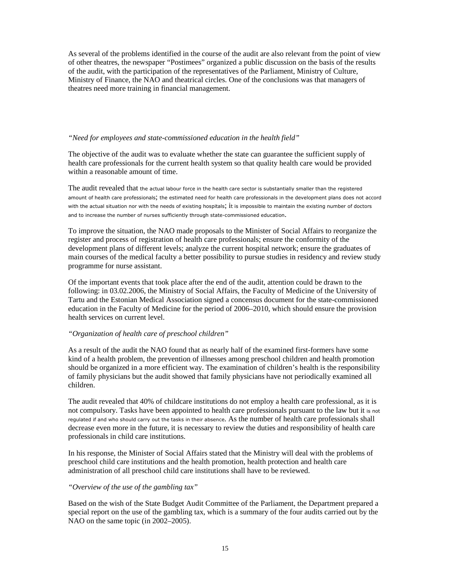As several of the problems identified in the course of the audit are also relevant from the point of view of other theatres, the newspaper "Postimees" organized a public discussion on the basis of the results of the audit, with the participation of the representatives of the Parliament, Ministry of Culture, Ministry of Finance, the NAO and theatrical circles. One of the conclusions was that managers of theatres need more training in financial management.

#### *"Need for employees and state-commissioned education in the health field"*

The objective of the audit was to evaluate whether the state can guarantee the sufficient supply of health care professionals for the current health system so that quality health care would be provided within a reasonable amount of time.

The audit revealed that the actual labour force in the health care sector is substantially smaller than the registered amount of health care professionals; the estimated need for health care professionals in the development plans does not accord with the actual situation nor with the needs of existing hospitals; it is impossible to maintain the existing number of doctors and to increase the number of nurses sufficiently through state-commissioned education.

To improve the situation, the NAO made proposals to the Minister of Social Affairs to reorganize the register and process of registration of health care professionals; ensure the conformity of the development plans of different levels; analyze the current hospital network; ensure the graduates of main courses of the medical faculty a better possibility to pursue studies in residency and review study programme for nurse assistant.

Of the important events that took place after the end of the audit, attention could be drawn to the following: in 03.02.2006, the Ministry of Social Affairs, the Faculty of Medicine of the University of Tartu and the Estonian Medical Association signed a concensus document for the state-commissioned education in the Faculty of Medicine for the period of 2006–2010, which should ensure the provision health services on current level.

#### *"Organization of health care of preschool children"*

As a result of the audit the NAO found that as nearly half of the examined first-formers have some kind of a health problem, the prevention of illnesses among preschool children and health promotion should be organized in a more efficient way. The examination of children's health is the responsibility of family physicians but the audit showed that family physicians have not periodically examined all children.

The audit revealed that 40% of childcare institutions do not employ a health care professional, as it is not compulsory. Tasks have been appointed to health care professionals pursuant to the law but it is not regulated if and who should carry out the tasks in their absence. As the number of health care professionals shall decrease even more in the future, it is necessary to review the duties and responsibility of health care professionals in child care institutions.

In his response, the Minister of Social Affairs stated that the Ministry will deal with the problems of preschool child care institutions and the health promotion, health protection and health care administration of all preschool child care institutions shall have to be reviewed.

#### *"Overview of the use of the gambling tax"*

Based on the wish of the State Budget Audit Committee of the Parliament, the Department prepared a special report on the use of the gambling tax, which is a summary of the four audits carried out by the NAO on the same topic (in 2002–2005).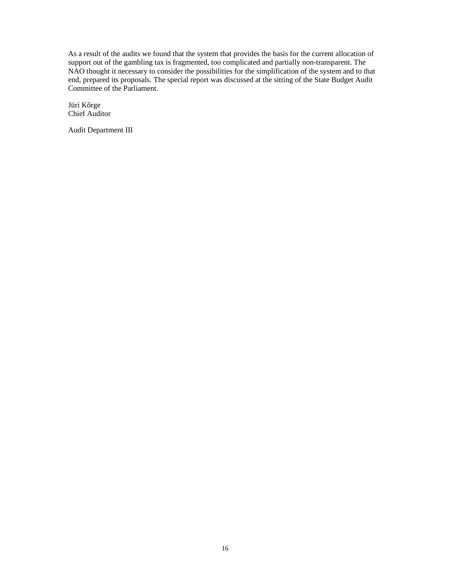As a result of the audits we found that the system that provides the basis for the current allocation of support out of the gambling tax is fragmented, too complicated and partially non-transparent. The NAO thought it necessary to consider the possibilities for the simplification of the system and to that end, prepared its proposals. The special report was discussed at the sitting of the State Budget Audit Committee of the Parliament.

Jüri Kõrge Chief Auditor

Audit Department III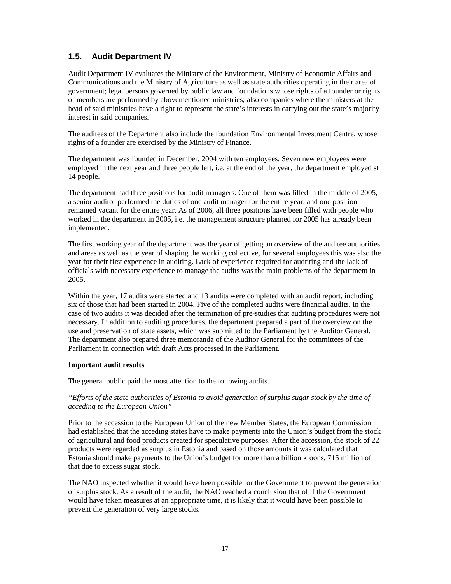## **1.5. Audit Department IV**

Audit Department IV evaluates the Ministry of the Environment, Ministry of Economic Affairs and Communications and the Ministry of Agriculture as well as state authorities operating in their area of government; legal persons governed by public law and foundations whose rights of a founder or rights of members are performed by abovementioned ministries; also companies where the ministers at the head of said ministries have a right to represent the state's interests in carrying out the state's majority interest in said companies.

The auditees of the Department also include the foundation Environmental Investment Centre, whose rights of a founder are exercised by the Ministry of Finance.

The department was founded in December, 2004 with ten employees. Seven new employees were employed in the next year and three people left, i.e. at the end of the year, the department employed st 14 people.

The department had three positions for audit managers. One of them was filled in the middle of 2005, a senior auditor performed the duties of one audit manager for the entire year, and one position remained vacant for the entire year. As of 2006, all three positions have been filled with people who worked in the department in 2005, i.e. the management structure planned for 2005 has already been implemented.

The first working year of the department was the year of getting an overview of the auditee authorities and areas as well as the year of shaping the working collective, for several employees this was also the year for their first experience in auditing. Lack of experience required for audtiting and the lack of officials with necessary experience to manage the audits was the main problems of the department in 2005.

Within the year, 17 audits were started and 13 audits were completed with an audit report, including six of those that had been started in 2004. Five of the completed audits were financial audits. In the case of two audits it was decided after the termination of pre-studies that auditing procedures were not necessary. In addition to auditing procedures, the department prepared a part of the overview on the use and preservation of state assets, which was submitted to the Parliament by the Auditor General. The department also prepared three memoranda of the Auditor General for the committees of the Parliament in connection with draft Acts processed in the Parliament.

#### **Important audit results**

The general public paid the most attention to the following audits.

*"Efforts of the state authorities of Estonia to avoid generation of surplus sugar stock by the time of acceding to the European Union"*

Prior to the accession to the European Union of the new Member States, the European Commission had established that the acceding states have to make payments into the Union's budget from the stock of agricultural and food products created for speculative purposes. After the accession, the stock of 22 products were regarded as surplus in Estonia and based on those amounts it was calculated that Estonia should make payments to the Union's budget for more than a billion kroons, 715 million of that due to excess sugar stock.

The NAO inspected whether it would have been possible for the Government to prevent the generation of surplus stock. As a result of the audit, the NAO reached a conclusion that of if the Government would have taken measures at an appropriate time, it is likely that it would have been possible to prevent the generation of very large stocks.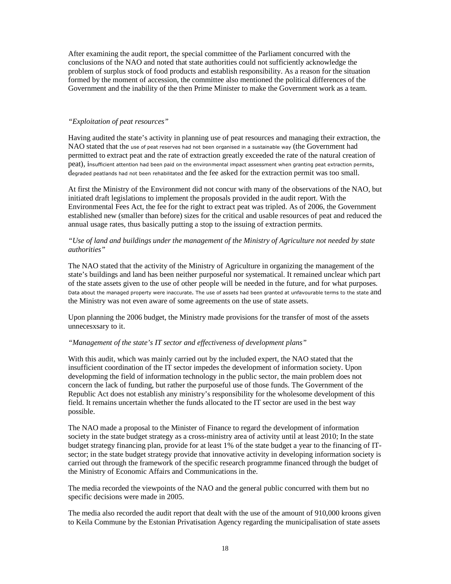After examining the audit report, the special committee of the Parliament concurred with the conclusions of the NAO and noted that state authorities could not sufficiently acknowledge the problem of surplus stock of food products and establish responsibility. As a reason for the situation formed by the moment of accession, the committee also mentioned the political differences of the Government and the inability of the then Prime Minister to make the Government work as a team.

#### *"Exploitation of peat resources"*

Having audited the state's activity in planning use of peat resources and managing their extraction, the NAO stated that the use of peat reserves had not been organised in a sustainable way (the Government had permitted to extract peat and the rate of extraction greatly exceeded the rate of the natural creation of peat), insufficient attention had been paid on the environmental impact assessment when granting peat extraction permits, degraded peatlands had not been rehabilitated and the fee asked for the extraction permit was too small.

At first the Ministry of the Environment did not concur with many of the observations of the NAO, but initiated draft legislations to implement the proposals provided in the audit report. With the Environmental Fees Act, the fee for the right to extract peat was tripled. As of 2006, the Government established new (smaller than before) sizes for the critical and usable resources of peat and reduced the annual usage rates, thus basically putting a stop to the issuing of extraction permits.

#### *"Use of land and buildings under the management of the Ministry of Agriculture not needed by state authorities"*

The NAO stated that the activity of the Ministry of Agriculture in organizing the management of the state's buildings and land has been neither purposeful nor systematical. It remained unclear which part of the state assets given to the use of other people will be needed in the future, and for what purposes. Data about the managed property were inaccurate. The use of assets had been granted at unfavourable terms to the state and the Ministry was not even aware of some agreements on the use of state assets.

Upon planning the 2006 budget, the Ministry made provisions for the transfer of most of the assets unnecesxsary to it.

#### *"Management of the state's IT sector and effectiveness of development plans"*

With this audit, which was mainly carried out by the included expert, the NAO stated that the insufficient coordination of the IT sector impedes the development of information society. Upon developming the field of information technology in the public sector, the main problem does not concern the lack of funding, but rather the purposeful use of those funds. The Government of the Republic Act does not establish any ministry's responsibility for the wholesome development of this field. It remains uncertain whether the funds allocated to the IT sector are used in the best way possible.

The NAO made a proposal to the Minister of Finance to regard the development of information society in the state budget strategy as a cross-ministry area of activity until at least 2010; In the state budget strategy financing plan, provide for at least 1% of the state budget a year to the financing of ITsector; in the state budget strategy provide that innovative activity in developing information society is carried out through the framework of the specific research programme financed through the budget of the Ministry of Economic Affairs and Communications in the.

The media recorded the viewpoints of the NAO and the general public concurred with them but no specific decisions were made in 2005.

The media also recorded the audit report that dealt with the use of the amount of 910,000 kroons given to Keila Commune by the Estonian Privatisation Agency regarding the municipalisation of state assets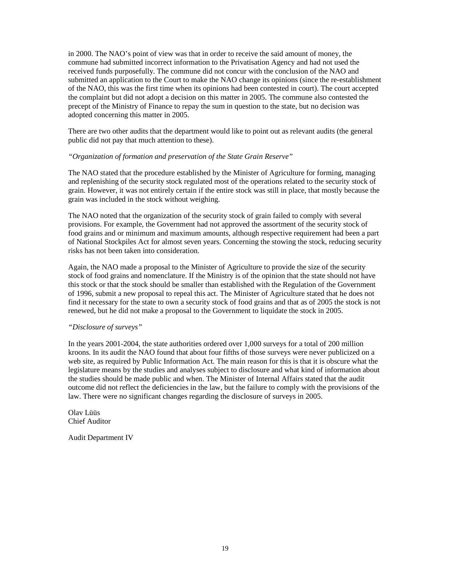in 2000. The NAO's point of view was that in order to receive the said amount of money, the commune had submitted incorrect information to the Privatisation Agency and had not used the received funds purposefully. The commune did not concur with the conclusion of the NAO and submitted an application to the Court to make the NAO change its opinions (since the re-establishment of the NAO, this was the first time when its opinions had been contested in court). The court accepted the complaint but did not adopt a decision on this matter in 2005. The commune also contested the precept of the Ministry of Finance to repay the sum in question to the state, but no decision was adopted concerning this matter in 2005.

There are two other audits that the department would like to point out as relevant audits (the general public did not pay that much attention to these).

#### *"Organization of formation and preservation of the State Grain Reserve"*

The NAO stated that the procedure established by the Minister of Agriculture for forming, managing and replenishing of the security stock regulated most of the operations related to the security stock of grain. However, it was not entirely certain if the entire stock was still in place, that mostly because the grain was included in the stock without weighing.

The NAO noted that the organization of the security stock of grain failed to comply with several provisions. For example, the Government had not approved the assortment of the security stock of food grains and or minimum and maximum amounts, although respective requirement had been a part of National Stockpiles Act for almost seven years. Concerning the stowing the stock, reducing security risks has not been taken into consideration.

Again, the NAO made a proposal to the Minister of Agriculture to provide the size of the security stock of food grains and nomenclature. If the Ministry is of the opinion that the state should not have this stock or that the stock should be smaller than established with the Regulation of the Government of 1996, submit a new proposal to repeal this act. The Minister of Agriculture stated that he does not find it necessary for the state to own a security stock of food grains and that as of 2005 the stock is not renewed, but he did not make a proposal to the Government to liquidate the stock in 2005.

#### *"Disclosure of surveys"*

In the years 2001-2004, the state authorities ordered over 1,000 surveys for a total of 200 million kroons. In its audit the NAO found that about four fifths of those surveys were never publicized on a web site, as required by Public Information Act. The main reason for this is that it is obscure what the legislature means by the studies and analyses subject to disclosure and what kind of information about the studies should be made public and when. The Minister of Internal Affairs stated that the audit outcome did not reflect the deficiencies in the law, but the failure to comply with the provisions of the law. There were no significant changes regarding the disclosure of surveys in 2005.

Olav Lüüs Chief Auditor

Audit Department IV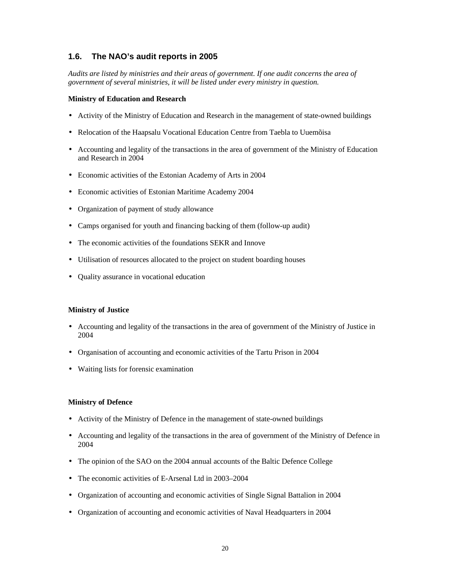## **1.6. The NAO's audit reports in 2005**

*Audits are listed by ministries and their areas of government. If one audit concerns the area of government of several ministries, it will be listed under every ministry in question.* 

#### **Ministry of Education and Research**

- Activity of the Ministry of Education and Research in the management of state-owned buildings
- Relocation of the Haapsalu Vocational Education Centre from Taebla to Uuemõisa
- Accounting and legality of the transactions in the area of government of the Ministry of Education and Research in 2004
- Economic activities of the Estonian Academy of Arts in 2004
- Economic activities of Estonian Maritime Academy 2004
- Organization of payment of study allowance
- Camps organised for youth and financing backing of them (follow-up audit)
- The economic activities of the foundations SEKR and Innove
- Utilisation of resources allocated to the project on student boarding houses
- Quality assurance in vocational education

#### **Ministry of Justice**

- Accounting and legality of the transactions in the area of government of the Ministry of Justice in 2004
- Organisation of accounting and economic activities of the Tartu Prison in 2004
- Waiting lists for forensic examination

#### **Ministry of Defence**

- Activity of the Ministry of Defence in the management of state-owned buildings
- Accounting and legality of the transactions in the area of government of the Ministry of Defence in 2004
- The opinion of the SAO on the 2004 annual accounts of the Baltic Defence College
- The economic activities of E-Arsenal Ltd in 2003–2004
- Organization of accounting and economic activities of Single Signal Battalion in 2004
- Organization of accounting and economic activities of Naval Headquarters in 2004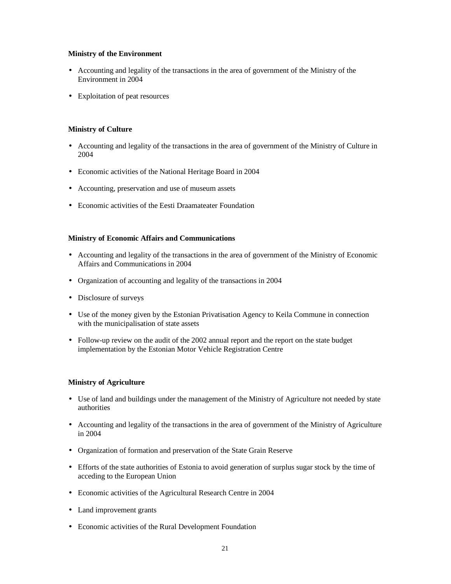#### **Ministry of the Environment**

- Accounting and legality of the transactions in the area of government of the Ministry of the Environment in 2004
- Exploitation of peat resources

#### **Ministry of Culture**

- Accounting and legality of the transactions in the area of government of the Ministry of Culture in 2004
- Economic activities of the National Heritage Board in 2004
- Accounting, preservation and use of museum assets
- Economic activities of the Eesti Draamateater Foundation

#### **Ministry of Economic Affairs and Communications**

- Accounting and legality of the transactions in the area of government of the Ministry of Economic Affairs and Communications in 2004
- Organization of accounting and legality of the transactions in 2004
- Disclosure of surveys
- Use of the money given by the Estonian Privatisation Agency to Keila Commune in connection with the municipalisation of state assets
- Follow-up review on the audit of the 2002 annual report and the report on the state budget implementation by the Estonian Motor Vehicle Registration Centre

#### **Ministry of Agriculture**

- Use of land and buildings under the management of the Ministry of Agriculture not needed by state authorities
- Accounting and legality of the transactions in the area of government of the Ministry of Agriculture in 2004
- Organization of formation and preservation of the State Grain Reserve
- Efforts of the state authorities of Estonia to avoid generation of surplus sugar stock by the time of acceding to the European Union
- Economic activities of the Agricultural Research Centre in 2004
- Land improvement grants
- Economic activities of the Rural Development Foundation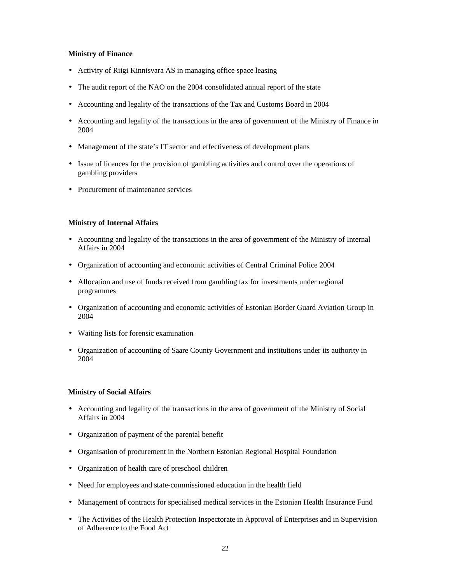#### **Ministry of Finance**

- Activity of Riigi Kinnisvara AS in managing office space leasing
- The audit report of the NAO on the 2004 consolidated annual report of the state
- Accounting and legality of the transactions of the Tax and Customs Board in 2004
- Accounting and legality of the transactions in the area of government of the Ministry of Finance in 2004
- Management of the state's IT sector and effectiveness of development plans
- Issue of licences for the provision of gambling activities and control over the operations of gambling providers
- Procurement of maintenance services

#### **Ministry of Internal Affairs**

- Accounting and legality of the transactions in the area of government of the Ministry of Internal Affairs in 2004
- Organization of accounting and economic activities of Central Criminal Police 2004
- Allocation and use of funds received from gambling tax for investments under regional programmes
- Organization of accounting and economic activities of Estonian Border Guard Aviation Group in 2004
- Waiting lists for forensic examination
- Organization of accounting of Saare County Government and institutions under its authority in 2004

#### **Ministry of Social Affairs**

- Accounting and legality of the transactions in the area of government of the Ministry of Social Affairs in 2004
- Organization of payment of the parental benefit
- Organisation of procurement in the Northern Estonian Regional Hospital Foundation
- Organization of health care of preschool children
- Need for employees and state-commissioned education in the health field
- Management of contracts for specialised medical services in the Estonian Health Insurance Fund
- The Activities of the Health Protection Inspectorate in Approval of Enterprises and in Supervision of Adherence to the Food Act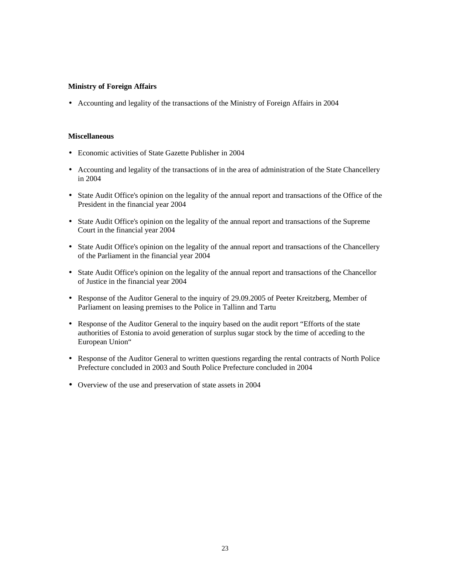#### **Ministry of Foreign Affairs**

• Accounting and legality of the transactions of the Ministry of Foreign Affairs in 2004

#### **Miscellaneous**

- Economic activities of State Gazette Publisher in 2004
- Accounting and legality of the transactions of in the area of administration of the State Chancellery in 2004
- State Audit Office's opinion on the legality of the annual report and transactions of the Office of the President in the financial year 2004
- State Audit Office's opinion on the legality of the annual report and transactions of the Supreme Court in the financial year 2004
- State Audit Office's opinion on the legality of the annual report and transactions of the Chancellery of the Parliament in the financial year 2004
- State Audit Office's opinion on the legality of the annual report and transactions of the Chancellor of Justice in the financial year 2004
- Response of the Auditor General to the inquiry of 29.09.2005 of Peeter Kreitzberg, Member of Parliament on leasing premises to the Police in Tallinn and Tartu
- Response of the Auditor General to the inquiry based on the audit report "Efforts of the state authorities of Estonia to avoid generation of surplus sugar stock by the time of acceding to the European Union"
- Response of the Auditor General to written questions regarding the rental contracts of North Police Prefecture concluded in 2003 and South Police Prefecture concluded in 2004
- Overview of the use and preservation of state assets in 2004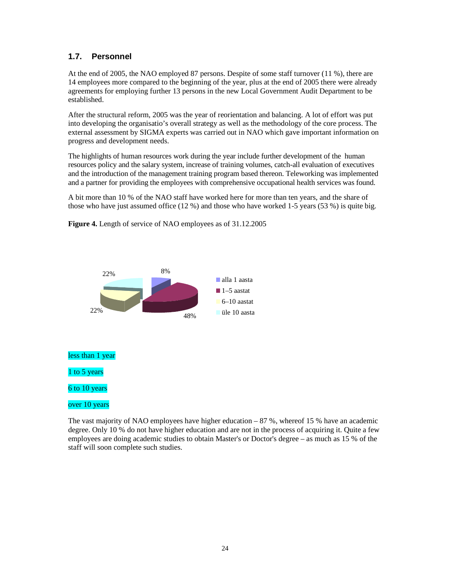## **1.7. Personnel**

At the end of 2005, the NAO employed 87 persons. Despite of some staff turnover (11 %), there are 14 employees more compared to the beginning of the year, plus at the end of 2005 there were already agreements for employing further 13 persons in the new Local Government Audit Department to be established.

After the structural reform, 2005 was the year of reorientation and balancing. A lot of effort was put into developing the organisatio's overall strategy as well as the methodology of the core process. The external assessment by SIGMA experts was carried out in NAO which gave important information on progress and development needs.

The highlights of human resources work during the year include further development of the human resources policy and the salary system, increase of training volumes, catch-all evaluation of executives and the introduction of the management training program based thereon. Teleworking was implemented and a partner for providing the employees with comprehensive occupational health services was found.

A bit more than 10 % of the NAO staff have worked here for more than ten years, and the share of those who have just assumed office (12 %) and those who have worked 1-5 years (53 %) is quite big.



**Figure 4.** Length of service of NAO employees as of 31.12.2005

The vast majority of NAO employees have higher education – 87 %, whereof 15 % have an academic degree. Only 10 % do not have higher education and are not in the process of acquiring it. Quite a few employees are doing academic studies to obtain Master's or Doctor's degree – as much as 15 % of the staff will soon complete such studies.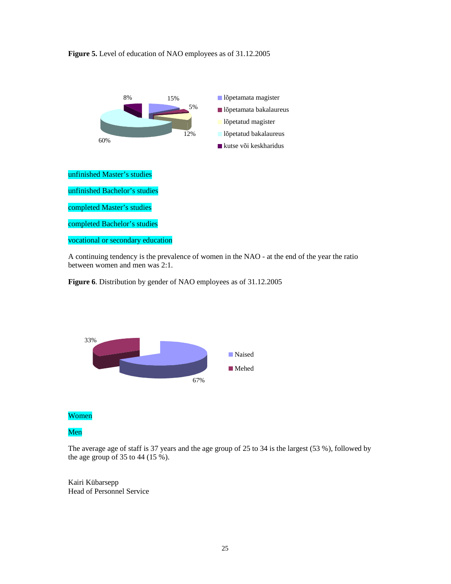



A continuing tendency is the prevalence of women in the NAO - at the end of the year the ratio between women and men was 2:1.





Women

### Men

The average age of staff is 37 years and the age group of 25 to 34 is the largest (53 %), followed by the age group of 35 to 44 (15 %).

Kairi Kübarsepp Head of Personnel Service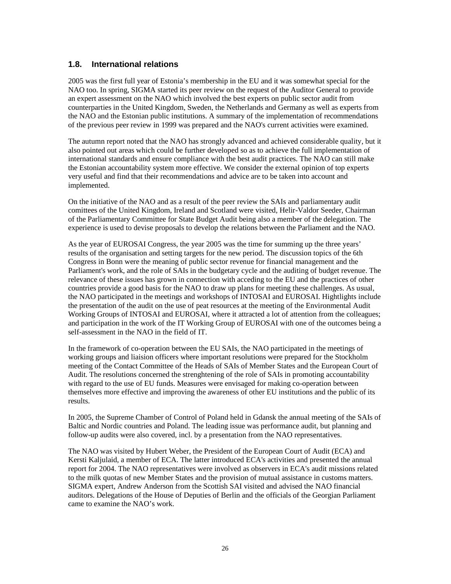### **1.8. International relations**

2005 was the first full year of Estonia's membership in the EU and it was somewhat special for the NAO too. In spring, SIGMA started its peer review on the request of the Auditor General to provide an expert assessment on the NAO which involved the best experts on public sector audit from counterparties in the United Kingdom, Sweden, the Netherlands and Germany as well as experts from the NAO and the Estonian public institutions. A summary of the implementation of recommendations of the previous peer review in 1999 was prepared and the NAO's current activities were examined.

The autumn report noted that the NAO has strongly advanced and achieved considerable quality, but it also pointed out areas which could be further developed so as to achieve the full implementation of international standards and ensure compliance with the best audit practices. The NAO can still make the Estonian accountability system more effective. We consider the external opinion of top experts very useful and find that their recommendations and advice are to be taken into account and implemented.

On the initiative of the NAO and as a result of the peer review the SAIs and parliamentary audit comittees of the United Kingdom, Ireland and Scotland were visited, Helir-Valdor Seeder, Chairman of the Parliamentary Committee for State Budget Audit being also a member of the delegation. The experience is used to devise proposals to develop the relations between the Parliament and the NAO.

As the year of EUROSAI Congress, the year 2005 was the time for summing up the three years' results of the organisation and setting targets for the new period. The discussion topics of the 6th Congress in Bonn were the meaning of public sector revenue for financial management and the Parliament's work, and the role of SAIs in the budgetary cycle and the auditing of budget revenue. The relevance of these issues has grown in connection with acceding to the EU and the practices of other countries provide a good basis for the NAO to draw up plans for meeting these challenges. As usual, the NAO participated in the meetings and workshops of INTOSAI and EUROSAI. Hightlights include the presentation of the audit on the use of peat resources at the meeting of the Environmental Audit Working Groups of INTOSAI and EUROSAI, where it attracted a lot of attention from the colleagues; and participation in the work of the IT Working Group of EUROSAI with one of the outcomes being a self-assessment in the NAO in the field of IT.

In the framework of co-operation between the EU SAIs, the NAO participated in the meetings of working groups and liaision officers where important resolutions were prepared for the Stockholm meeting of the Contact Committee of the Heads of SAIs of Member States and the European Court of Audit. The resolutions concerned the strenghtening of the role of SAIs in promoting accountability with regard to the use of EU funds. Measures were envisaged for making co-operation between themselves more effective and improving the awareness of other EU institutions and the public of its results.

In 2005, the Supreme Chamber of Control of Poland held in Gdansk the annual meeting of the SAIs of Baltic and Nordic countries and Poland. The leading issue was performance audit, but planning and follow-up audits were also covered, incl. by a presentation from the NAO representatives.

The NAO was visited by Hubert Weber, the President of the European Court of Audit (ECA) and Kersti Kaljulaid, a member of ECA. The latter introduced ECA's activities and presented the annual report for 2004. The NAO representatives were involved as observers in ECA's audit missions related to the milk quotas of new Member States and the provision of mutual assistance in customs matters. SIGMA expert, Andrew Anderson from the Scottish SAI visited and advised the NAO financial auditors. Delegations of the House of Deputies of Berlin and the officials of the Georgian Parliament came to examine the NAO's work.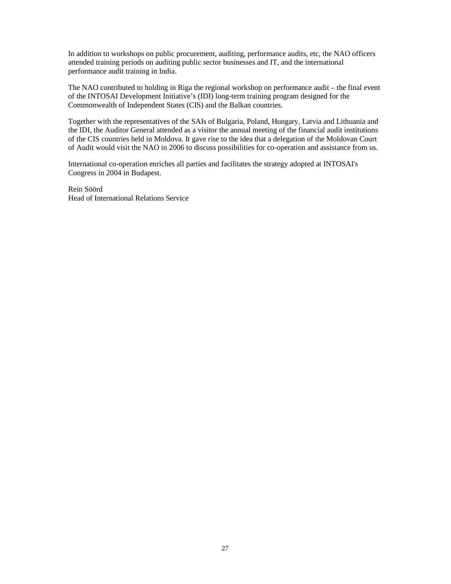In addition to workshops on public procurement, auditing, performance audits, etc, the NAO officers attended training periods on auditing public sector businesses and IT, and the international performance audit training in India.

The NAO contributed to holding in Riga the regional workshop on performance audit – the final event of the INTOSAI Development Initiative's (IDI) long-term training program designed for the Commonwealth of Independent States (CIS) and the Balkan countries.

Together with the representatives of the SAIs of Bulgaria, Poland, Hungary, Latvia and Lithuania and the IDI, the Auditor General attended as a visitor the annual meeting of the financial audit institutions of the CIS countries held in Moldova. It gave rise to the idea that a delegation of the Moldovan Court of Audit would visit the NAO in 2006 to discuss possibilities for co-operation and assistance from us.

International co-operation enriches all parties and facilitates the strategy adopted at INTOSAI's Congress in 2004 in Budapest.

Rein Söörd Head of International Relations Service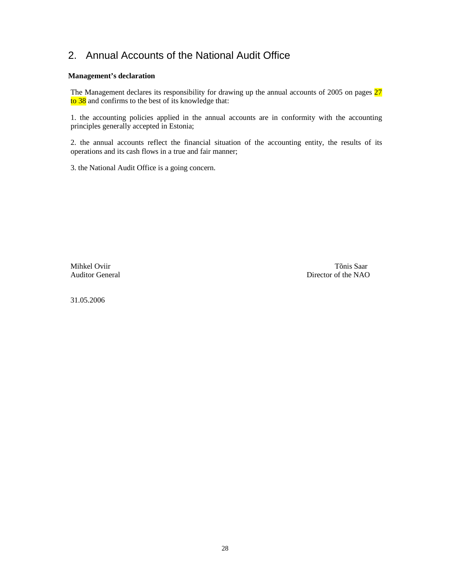## 2. Annual Accounts of the National Audit Office

#### **Management's declaration**

The Management declares its responsibility for drawing up the annual accounts of 2005 on pages 27 to 38 and confirms to the best of its knowledge that:

1. the accounting policies applied in the annual accounts are in conformity with the accounting principles generally accepted in Estonia;

2. the annual accounts reflect the financial situation of the accounting entity, the results of its operations and its cash flows in a true and fair manner;

3. the National Audit Office is a going concern.

Mihkel Oviir Tõnis Saar Auditor General Director of the NAO

31.05.2006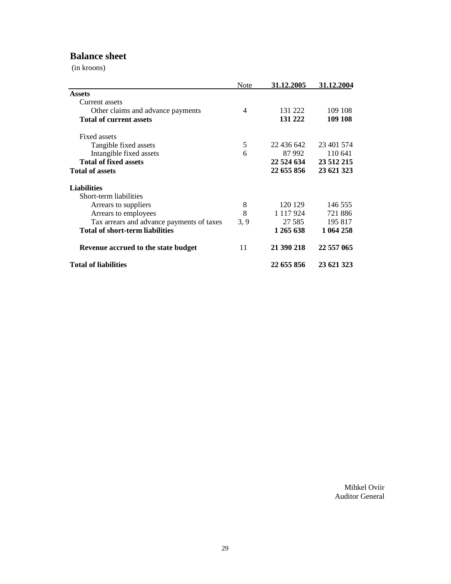## **Balance sheet**

(in kroons)

|                                           | Note | 31.12.2005    | 31.12.2004 |
|-------------------------------------------|------|---------------|------------|
| <b>Assets</b>                             |      |               |            |
| Current assets                            |      |               |            |
| Other claims and advance payments         | 4    | 131 222       | 109 108    |
| <b>Total of current assets</b>            |      | 131 222       | 109 108    |
| Fixed assets                              |      |               |            |
| Tangible fixed assets                     | 5    | 22 436 642    | 23 401 574 |
| Intangible fixed assets                   | 6    | 87 992        | 110 641    |
| <b>Total of fixed assets</b>              |      | 22 524 634    | 23 512 215 |
| <b>Total of assets</b>                    |      | 22 655 856    | 23 621 323 |
| <b>Liabilities</b>                        |      |               |            |
| Short-term liabilities                    |      |               |            |
| Arrears to suppliers                      | 8    | 120 129       | 146 555    |
| Arrears to employees                      | 8    | 1 1 1 7 9 2 4 | 721886     |
| Tax arrears and advance payments of taxes | 3, 9 | 27 5 85       | 195 817    |
| <b>Total of short-term liabilities</b>    |      | 1 265 638     | 1 064 258  |
| Revenue accrued to the state budget       | 11   | 21 390 218    | 22 557 065 |
| <b>Total of liabilities</b>               |      | 22 655 856    | 23 621 323 |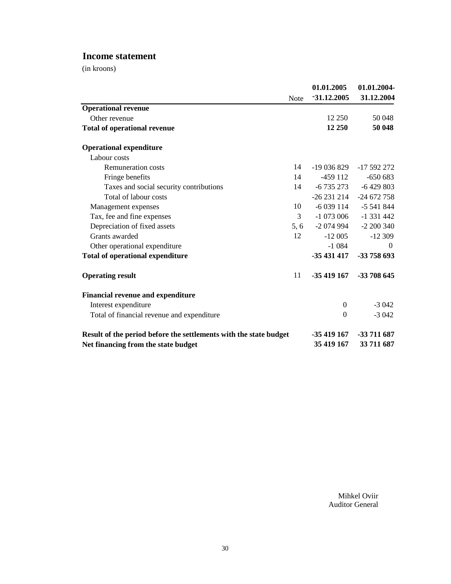## **Income statement**

(in kroons)

|                                                                   | <b>Note</b> | 01.01.2005<br>$-31.12.2005$ | 01.01.2004-<br>31.12.2004 |
|-------------------------------------------------------------------|-------------|-----------------------------|---------------------------|
| <b>Operational revenue</b>                                        |             |                             |                           |
| Other revenue                                                     |             | 12 250                      | 50 048                    |
| <b>Total of operational revenue</b>                               |             | 12 250                      | 50 048                    |
| <b>Operational expenditure</b>                                    |             |                             |                           |
| Labour costs                                                      |             |                             |                           |
| <b>Remuneration costs</b>                                         | 14          | -19 036 829                 | -17 592 272               |
| Fringe benefits                                                   | 14          | $-459112$                   | $-650683$                 |
| Taxes and social security contributions                           | 14          | -6 735 273                  | $-6429803$                |
| Total of labour costs                                             |             | -26 231 214                 | $-24672758$               |
| Management expenses                                               | 10          | $-6039114$                  | $-5541844$                |
| Tax, fee and fine expenses                                        | 3           | -1 073 006                  | $-1331442$                |
| Depreciation of fixed assets                                      | 5, 6        | -2 074 994                  | $-2200340$                |
| Grants awarded                                                    | 12          | $-12005$                    | $-12309$                  |
| Other operational expenditure                                     |             | $-1.084$                    | $\theta$                  |
| <b>Total of operational expenditure</b>                           |             | $-35431417$                 | -33 758 693               |
| <b>Operating result</b>                                           | 11          | $-35419167$                 | -33 708 645               |
| <b>Financial revenue and expenditure</b>                          |             |                             |                           |
| Interest expenditure                                              |             | $\overline{0}$              | $-3042$                   |
| Total of financial revenue and expenditure                        |             | $\theta$                    | $-3042$                   |
| Result of the period before the settlements with the state budget |             | -35 419 167                 | -33 711 687               |
| Net financing from the state budget                               |             | 35 419 167                  | 33 711 687                |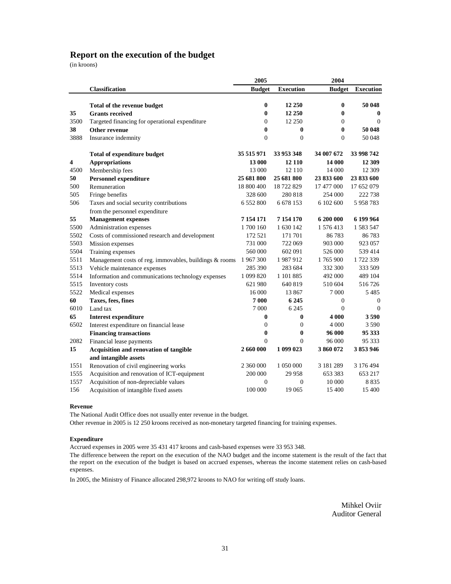### **Report on the execution of the budget**

(in kroons)

|            |                                                                        | 2005                     |                    | 2004                       |                        |
|------------|------------------------------------------------------------------------|--------------------------|--------------------|----------------------------|------------------------|
|            | Classification                                                         | <b>Budget</b>            | <b>Execution</b>   | <b>Budget</b>              | <b>Execution</b>       |
|            |                                                                        |                          |                    |                            |                        |
|            | Total of the revenue budget                                            | $\bf{0}$                 | 12 250             | $\bf{0}$                   | 50 048                 |
| 35         | <b>Grants received</b>                                                 | $\bf{0}$                 | 12 250             | $\bf{0}$                   | $\bf{0}$               |
| 3500<br>38 | Targeted financing for operational expenditure<br><b>Other revenue</b> | $\mathbf{0}$<br>$\bf{0}$ | 12 250<br>$\bf{0}$ | $\overline{0}$<br>$\bf{0}$ | $\mathbf{0}$<br>50 048 |
| 3888       |                                                                        | $\Omega$                 | $\theta$           | $\Omega$                   | 50 048                 |
|            | Insurance indemnity                                                    |                          |                    |                            |                        |
|            | <b>Total of expenditure budget</b>                                     | 35 515 971               | 33 953 348         | 34 007 672                 | 33 998 742             |
| 4          | <b>Appropriations</b>                                                  | 13 000                   | 12 110             | 14 000                     | 12 309                 |
| 4500       | Membership fees                                                        | 13 000                   | 12 110             | 14 000                     | 12 309                 |
| 50         | <b>Personnel expenditure</b>                                           | 25 681 800               | 25 681 800         | 23 833 600                 | 23 833 600             |
| 500        | Remuneration                                                           | 18 800 400               | 18 722 829         | 17 477 000                 | 17 652 079             |
| 505        | Fringe benefits                                                        | 328 600                  | 280 818            | 254 000                    | 222 738                |
| 506        | Taxes and social security contributions                                | 6 5 5 2 8 0 0            | 6 6 78 1 53        | 6 102 600                  | 5 958 783              |
|            | from the personnel expenditure                                         |                          |                    |                            |                        |
| 55         | <b>Management expenses</b>                                             | 7 154 171                | 7 154 170          | 6 200 000                  | 6 199 9 64             |
| 5500       | Administration expenses                                                | 1700160                  | 1 630 142          | 1 576 413                  | 1 583 547              |
| 5502       | Costs of commissioned research and development                         | 172 521                  | 171 701            | 86783                      | 86783                  |
| 5503       | Mission expenses                                                       | 731 000                  | 722 069            | 903 000                    | 923 057                |
| 5504       | Training expenses                                                      | 560 000                  | 602 091            | 526 000                    | 539414                 |
| 5511       | Management costs of reg. immovables, buildings & rooms                 | 1967300                  | 1987912            | 1765900                    | 1722339                |
| 5513       | Vehicle maintenance expenses                                           | 285 390                  | 283 684            | 332 300                    | 333 509                |
| 5514       | Information and communications technology expenses                     | 1 099 820                | 1 101 885          | 492 000                    | 489 104                |
| 5515       | Inventory costs                                                        | 621 980                  | 640 819            | 510 604                    | 516726                 |
| 5522       | Medical expenses                                                       | 16 000                   | 13 867             | 7 0 0 0                    | 5 4 8 5                |
| 60         | Taxes, fees, fines                                                     | 7 000                    | 6 2 4 5            | $\mathbf{0}$               | $\mathbf{0}$           |
| 6010       | Land tax                                                               | 7 0 0 0                  | 6 2 4 5            | $\Omega$                   | $\mathbf{0}$           |
| 65         | <b>Interest expenditure</b>                                            | $\bf{0}$                 | $\mathbf{0}$       | 4 000                      | 3590                   |
| 6502       | Interest expenditure on financial lease                                | $\mathbf{0}$             | $\mathbf{0}$       | 4 000                      | 3590                   |
|            | <b>Financing transactions</b>                                          | $\bf{0}$                 | $\bf{0}$           | 96 000                     | 95 333                 |
| 2082       | Financial lease payments                                               | $\Omega$                 | $\theta$           | 96 000                     | 95 333                 |
| 15         | Acquisition and renovation of tangible                                 | 2 660 000                | 1 099 023          | 3860072                    | 3853946                |
|            | and intangible assets                                                  |                          |                    |                            |                        |
| 1551       | Renovation of civil engineering works                                  | 2 360 000                | 1 050 000          | 3 181 289                  | 3 176 494              |
| 1555       | Acquisition and renovation of ICT-equipment                            | 200 000                  | 29 9 58            | 653 383                    | 653 217                |
| 1557       | Acquisition of non-depreciable values                                  | $\mathbf{0}$             | $\theta$           | 10 000                     | 8 8 3 5                |
| 156        | Acquisition of intangible fixed assets                                 | 100 000                  | 19 065             | 15 400                     | 15 400                 |

#### **Revenue**

The National Audit Office does not usually enter revenue in the budget.

Other revenue in 2005 is 12 250 kroons received as non-monetary targeted financing for training expenses.

#### **Expenditure**

Accrued expenses in 2005 were 35 431 417 kroons and cash-based expenses were 33 953 348.

The difference between the report on the execution of the NAO budget and the income statement is the result of the fact that the report on the execution of the budget is based on accrued expenses, whereas the income statement relies on cash-based expenses.

In 2005, the Ministry of Finance allocated 298,972 kroons to NAO for writing off study loans.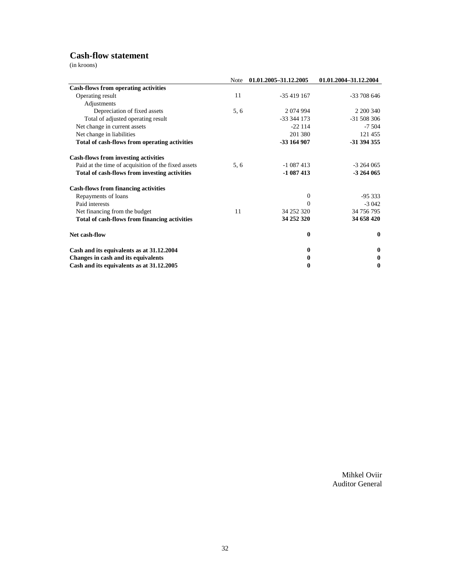## **Cash-flow statement**

(in kroons)

|                                                     | Note | 01.01.2005-31.12.2005 | 01.01.2004-31.12.2004 |
|-----------------------------------------------------|------|-----------------------|-----------------------|
| <b>Cash-flows from operating activities</b>         |      |                       |                       |
| Operating result                                    | 11   | $-35419167$           | -33 708 646           |
| Adjustments                                         |      |                       |                       |
| Depreciation of fixed assets                        | 5, 6 | 2 0 74 9 94           | 2 200 340             |
| Total of adjusted operating result                  |      | $-33.344.173$         | $-31508306$           |
| Net change in current assets                        |      | $-22114$              | $-7,504$              |
| Net change in liabilities                           |      | 201 380               | 121 455               |
| Total of cash-flows from operating activities       |      | -33 164 907           | -31 394 355           |
| <b>Cash-flows from investing activities</b>         |      |                       |                       |
| Paid at the time of acquisition of the fixed assets | 5, 6 | $-1087413$            | $-3264065$            |
| Total of cash-flows from investing activities       |      | $-1087413$            | -3 264 065            |
| <b>Cash-flows from financing activities</b>         |      |                       |                       |
| Repayments of loans                                 |      | $\theta$              | $-95333$              |
| Paid interests                                      |      | $\Omega$              | $-3042$               |
| Net financing from the budget                       | 11   | 34 252 320            | 34 756 795            |
| Total of cash-flows from financing activities       |      | 34 252 320            | 34 658 420            |
| Net cash-flow                                       |      | $\bf{0}$              | $\bf{0}$              |
| Cash and its equivalents as at 31.12.2004           |      | $\mathbf{0}$          | 0                     |
| Changes in cash and its equivalents                 |      | 0                     | 0                     |
| Cash and its equivalents as at 31.12.2005           |      | $\bf{0}$              | $\bf{0}$              |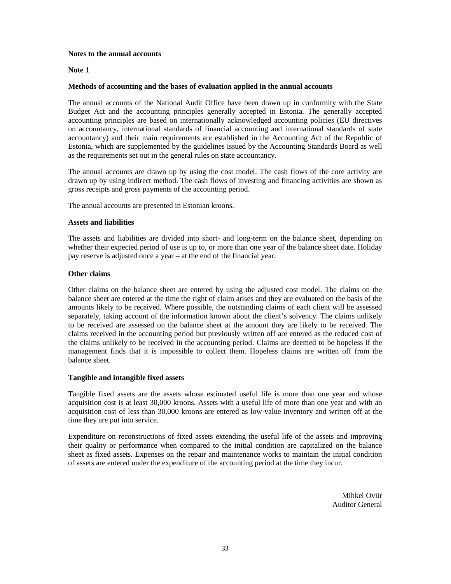#### **Notes to the annual accounts**

#### **Note 1**

#### **Methods of accounting and the bases of evaluation applied in the annual accounts**

The annual accounts of the National Audit Office have been drawn up in conformity with the State Budget Act and the accounting principles generally accepted in Estonia. The generally accepted accounting principles are based on internationally acknowledged accounting policies (EU directives on accountancy, international standards of financial accounting and international standards of state accountancy) and their main requirements are established in the Accounting Act of the Republic of Estonia, which are supplemented by the guidelines issued by the Accounting Standards Board as well as the requirements set out in the general rules on state accountancy.

The annual accounts are drawn up by using the cost model. The cash flows of the core activity are drawn up by using indirect method. The cash flows of investing and financing activities are shown as gross receipts and gross payments of the accounting period.

The annual accounts are presented in Estonian kroons.

#### **Assets and liabilities**

The assets and liabilities are divided into short- and long-term on the balance sheet, depending on whether their expected period of use is up to, or more than one year of the balance sheet date. Holiday pay reserve is adjusted once a year – at the end of the financial year.

#### **Other claims**

Other claims on the balance sheet are entered by using the adjusted cost model. The claims on the balance sheet are entered at the time the right of claim arises and they are evaluated on the basis of the amounts likely to be received. Where possible, the outstanding claims of each client will be assessed separately, taking account of the information known about the client's solvency. The claims unlikely to be received are assessed on the balance sheet at the amount they are likely to be received. The claims received in the accounting period but previously written off are entered as the reduced cost of the claims unlikely to be received in the accounting period. Claims are deemed to be hopeless if the management finds that it is impossible to collect them. Hopeless claims are written off from the balance sheet.

#### **Tangible and intangible fixed assets**

Tangible fixed assets are the assets whose estimated useful life is more than one year and whose acquisition cost is at least 30,000 kroons. Assets with a useful life of more than one year and with an acquisition cost of less than 30,000 kroons are entered as low-value inventory and written off at the time they are put into service.

Expenditure on reconstructions of fixed assets extending the useful life of the assets and improving their quality or performance when compared to the initial condition are capitalized on the balance sheet as fixed assets. Expenses on the repair and maintenance works to maintain the initial condition of assets are entered under the expenditure of the accounting period at the time they incur.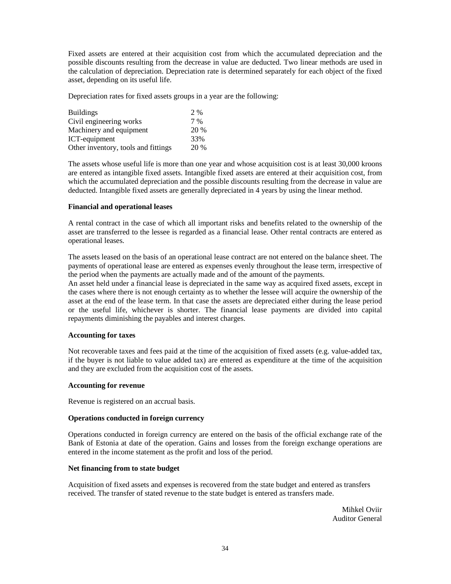Fixed assets are entered at their acquisition cost from which the accumulated depreciation and the possible discounts resulting from the decrease in value are deducted. Two linear methods are used in the calculation of depreciation. Depreciation rate is determined separately for each object of the fixed asset, depending on its useful life.

Depreciation rates for fixed assets groups in a year are the following:

| <b>Buildings</b>                    | 2 %   |
|-------------------------------------|-------|
| Civil engineering works             | $7\%$ |
| Machinery and equipment             | 20 %  |
| ICT-equipment                       | 33%   |
| Other inventory, tools and fittings | 20 %  |

The assets whose useful life is more than one year and whose acquisition cost is at least 30,000 kroons are entered as intangible fixed assets. Intangible fixed assets are entered at their acquisition cost, from which the accumulated depreciation and the possible discounts resulting from the decrease in value are deducted. Intangible fixed assets are generally depreciated in 4 years by using the linear method.

#### **Financial and operational leases**

A rental contract in the case of which all important risks and benefits related to the ownership of the asset are transferred to the lessee is regarded as a financial lease. Other rental contracts are entered as operational leases.

The assets leased on the basis of an operational lease contract are not entered on the balance sheet. The payments of operational lease are entered as expenses evenly throughout the lease term, irrespective of the period when the payments are actually made and of the amount of the payments.

An asset held under a financial lease is depreciated in the same way as acquired fixed assets, except in the cases where there is not enough certainty as to whether the lessee will acquire the ownership of the asset at the end of the lease term. In that case the assets are depreciated either during the lease period or the useful life, whichever is shorter. The financial lease payments are divided into capital repayments diminishing the payables and interest charges.

#### **Accounting for taxes**

Not recoverable taxes and fees paid at the time of the acquisition of fixed assets (e.g. value-added tax, if the buyer is not liable to value added tax) are entered as expenditure at the time of the acquisition and they are excluded from the acquisition cost of the assets.

#### **Accounting for revenue**

Revenue is registered on an accrual basis.

#### **Operations conducted in foreign currency**

Operations conducted in foreign currency are entered on the basis of the official exchange rate of the Bank of Estonia at date of the operation. Gains and losses from the foreign exchange operations are entered in the income statement as the profit and loss of the period.

#### **Net financing from to state budget**

Acquisition of fixed assets and expenses is recovered from the state budget and entered as transfers received. The transfer of stated revenue to the state budget is entered as transfers made.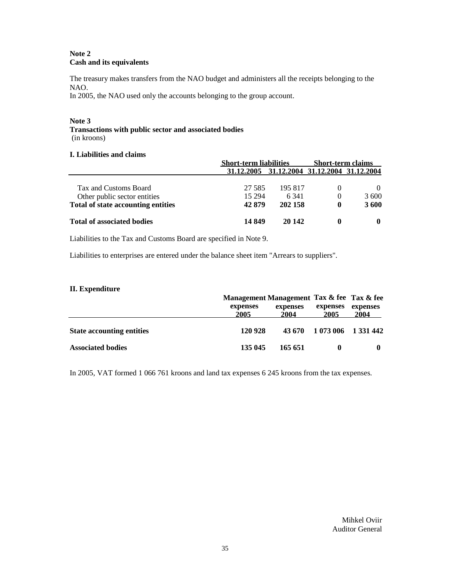#### **Note 2 Cash and its equivalents**

The treasury makes transfers from the NAO budget and administers all the receipts belonging to the NAO.

In 2005, the NAO used only the accounts belonging to the group account.

#### **Note 3**

**Transactions with public sector and associated bodies** (in kroons)

#### **I. Liabilities and claims**

|                                    | <b>Short-term liabilities</b>               |         | <b>Short-term claims</b> |              |
|------------------------------------|---------------------------------------------|---------|--------------------------|--------------|
|                                    | 31,12,2005 31,12,2004 31,12,2004 31,12,2004 |         |                          |              |
| Tax and Customs Board              | 27.585                                      | 195 817 | $\theta$                 |              |
| Other public sector entities       | 15 294                                      | 6 3 4 1 | $\Omega$                 | 3600         |
| Total of state accounting entities | 42 879                                      | 202 158 | 0                        | 3600         |
| Total of associated bodies         | 14 849                                      | 20 142  |                          | $\mathbf{0}$ |

Liabilities to the Tax and Customs Board are specified in Note 9.

Liabilities to enterprises are entered under the balance sheet item "Arrears to suppliers".

#### **II. Expenditure**

|                                  | Management Management Tax & fee Tax & fee |                  |                            |                  |  |
|----------------------------------|-------------------------------------------|------------------|----------------------------|------------------|--|
|                                  | expenses<br>2005                          | expenses<br>2004 | expenses<br>2005           | expenses<br>2004 |  |
| <b>State accounting entities</b> | 120 928                                   |                  | 43 670 1 073 006 1 331 442 |                  |  |
| <b>Associated bodies</b>         | 135 045                                   | 165 651          | $\mathbf 0$                |                  |  |

In 2005, VAT formed 1 066 761 kroons and land tax expenses 6 245 kroons from the tax expenses.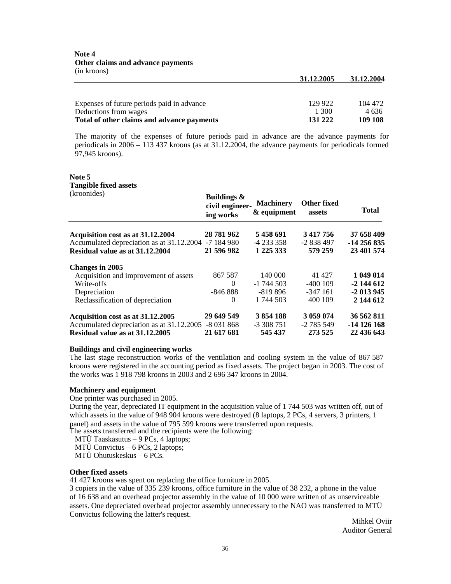| Expenses of future periods paid in advance | 129 922 | 104 472 |
|--------------------------------------------|---------|---------|
| Deductions from wages                      | 1.300   | 4 636   |
| Total of other claims and advance payments | 131 222 | 109 108 |

The majority of the expenses of future periods paid in advance are the advance payments for periodicals in 2006 – 113 437 kroons (as at 31.12.2004, the advance payments for periodicals formed 97,945 kroons).

## **Note 5 Tangible fixed assets**

| (kroonides)                                          | <b>Buildings &amp;</b><br>civil engineer-<br>ing works | <b>Machinery</b><br>& equipment | Other fixed<br>assets | Total        |
|------------------------------------------------------|--------------------------------------------------------|---------------------------------|-----------------------|--------------|
| Acquisition cost as at 31.12.2004                    | 28 781 962                                             | 5458691                         | 3 417 756             | 37 658 409   |
| Accumulated depreciation as at 31.12.2004 -7 184 980 |                                                        | $-4233358$                      | $-2838497$            | -14 256 835  |
| Residual value as at 31.12.2004                      | 21 596 982                                             | 1 225 333                       | 579 259               | 23 401 574   |
| <b>Changes in 2005</b>                               |                                                        |                                 |                       |              |
| Acquisition and improvement of assets                | 867 587                                                | 140 000                         | 41 427                | 1 049 014    |
| Write-offs                                           | $\Omega$                                               | $-1$ 744 503                    | $-400109$             | $-2$ 144 612 |
| Depreciation                                         | $-84688$                                               | $-819896$                       | $-347$ 161            | $-2$ 013 945 |
| Reclassification of depreciation                     | $\Omega$                                               | 1 744 503                       | 400 109               | 2 144 612    |
| Acquisition cost as at 31.12.2005                    | 29 649 549                                             | 3 854 188                       | 3 059 074             | 36 562 811   |
| Accumulated depreciation as at 31.12.2005 -8 031 868 |                                                        | $-3308751$                      | $-2785549$            | $-14126168$  |
| Residual value as at 31.12.2005                      | 21 617 681                                             | 545 437                         | 273 525               | 22 436 643   |

#### **Buildings and civil engineering works**

The last stage reconstruction works of the ventilation and cooling system in the value of 867 587 kroons were registered in the accounting period as fixed assets. The project began in 2003. The cost of the works was 1 918 798 kroons in 2003 and 2 696 347 kroons in 2004.

#### **Machinery and equipment**

#### One printer was purchased in 2005.

During the year, depreciated IT equipment in the acquisition value of 1 744 503 was written off, out of which assets in the value of 948 904 kroons were destroyed (8 laptops, 2 PCs, 4 servers, 3 printers, 1 panel) and assets in the value of 795 599 kroons were transferred upon requests.

The assets transferred and the recipients were the following:

MTÜ Taaskasutus – 9 PCs, 4 laptops;

MTÜ Convictus – 6 PCs, 2 laptops;

MTÜ Ohutuskeskus – 6 PCs.

#### **Other fixed assets**

41 427 kroons was spent on replacing the office furniture in 2005.

3 copiers in the value of 335 239 kroons, office furniture in the value of 38 232, a phone in the value of 16 638 and an overhead projector assembly in the value of 10 000 were written of as unserviceable assets. One depreciated overhead projector assembly unnecessary to the NAO was transferred to MTÜ Convictus following the latter's request.

Mihkel Oviir Auditor General

**31.12.2005 31.12.2004**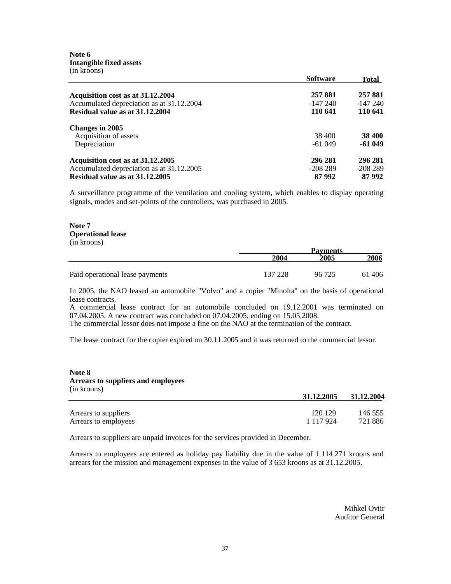**Note 6 Intangible fixed assets** (in kroons)

|                                           | <b>Software</b> | Total         |
|-------------------------------------------|-----------------|---------------|
| Acquisition cost as at 31.12.2004         | 257 881         | 257 881       |
| Accumulated depreciation as at 31.12.2004 | -147 240        | $-147240$     |
| Residual value as at 31.12.2004           | 110 641         | 110 641       |
| <b>Changes in 2005</b>                    |                 |               |
| Acquisition of assets                     | 38 400          | <b>38 400</b> |
| Depreciation                              | $-61049$        | $-61049$      |
| Acquisition cost as at 31.12.2005         | 296 281         | 296 281       |
| Accumulated depreciation as at 31.12.2005 | $-208289$       | $-208289$     |
| Residual value as at 31.12.2005           | 87 992          | 87992         |

A surveillance programme of the ventilation and cooling system, which enables to display operating signals, modes and set-points of the controllers, was purchased in 2005.

#### **Note 7 Operational lease** (in kroons)

|                                 |         | <b>Payments</b> |       |  |
|---------------------------------|---------|-----------------|-------|--|
|                                 | 2004    | 2005            | 2006  |  |
|                                 |         |                 |       |  |
| Paid operational lease payments | 137 228 | 96 725          | 61406 |  |

In 2005, the NAO leased an automobile "Volvo" and a copier "Minolta" on the basis of operational lease contracts.

A commercial lease contract for an automobile concluded on 19.12.2001 was terminated on 07.04.2005. A new contract was concluded on 07.04.2005, ending on 15.05.2008.

The commercial lessor does not impose a fine on the NAO at the termination of the contract.

The lease contract for the copier expired on 30.11.2005 and it was returned to the commercial lessor.

#### **Note 8 Arrears to suppliers and employees** (in kroons)

|                      | 31.12.2005    | 31.12.2004 |
|----------------------|---------------|------------|
| Arrears to suppliers | 120 129       | 146 555    |
| Arrears to employees | 1 1 1 7 9 2 4 | 721886     |

Arrears to suppliers are unpaid invoices for the services provided in December.

Arrears to employees are entered as holiday pay liability due in the value of 1 114 271 kroons and arrears for the mission and management expenses in the value of 3 653 kroons as at 31.12.2005.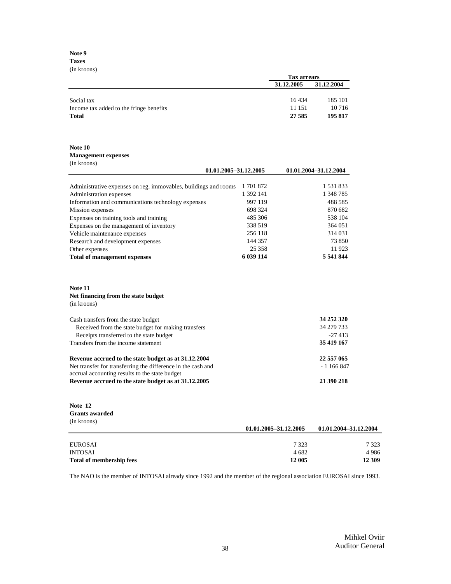**Note 9 Taxes** (in kroons)

|                                         |            | <b>Tax arrears</b> |  |  |
|-----------------------------------------|------------|--------------------|--|--|
|                                         | 31.12.2005 | 31.12.2004         |  |  |
|                                         |            |                    |  |  |
| Social tax                              | 16434      | 185 101            |  |  |
| Income tax added to the fringe benefits | 11 151     | 10 7 16            |  |  |
| Total                                   | 27 5 85    | 195 817            |  |  |

#### **Note 10**

#### **Management expenses** (in kroons)

| 01.01.2005-31.12.2005                                           |           | 01.01.2004-31.12.2004 |  |
|-----------------------------------------------------------------|-----------|-----------------------|--|
|                                                                 |           |                       |  |
| Administrative expenses on reg. immovables, buildings and rooms | 1 701 872 | 1 531 833             |  |
| Administration expenses                                         | 1 392 141 | 1 348 785             |  |
| Information and communications technology expenses              | 997 119   | 488 585               |  |
| Mission expenses                                                | 698 324   | 870 682               |  |
| Expenses on training tools and training                         | 485 306   | 538 104               |  |
| Expenses on the management of inventory                         | 338 519   | 364 051               |  |
| Vehicle maintenance expenses                                    | 256 118   | 314 031               |  |
| Research and development expenses                               | 144 357   | 73 850                |  |
| Other expenses                                                  | 25 3 5 8  | 11923                 |  |
| <b>Total of management expenses</b>                             | 6 039 114 | 5 541 844             |  |

#### **Note 11 Net financing from the state budget** (in kroons)

| Cash transfers from the state budget                         | 34 252 320 |
|--------------------------------------------------------------|------------|
| Received from the state budget for making transfers          | 34 279 733 |
| Receipts transferred to the state budget                     | $-27413$   |
| Transfers from the income statement                          | 35 419 167 |
| Revenue accrued to the state budget as at 31.12.2004         | 22 557 065 |
| Net transfer for transferring the difference in the cash and | $-1166847$ |
| accrual accounting results to the state budget               |            |
| Revenue accrued to the state budget as at 31.12.2005         | 21 390 218 |

#### **Note 12 Grants awarded** (in kroons)

|                                 | 01.01.2005-31.12.2005 | 01.01.2004-31.12.2004 |  |
|---------------------------------|-----------------------|-----------------------|--|
|                                 |                       |                       |  |
| EUROSAI                         | 7 3 2 3               | 7 323                 |  |
| <b>INTOSAI</b>                  | 4 682                 | 4 986                 |  |
| <b>Total of membership fees</b> | 12 005                | 12 309                |  |

The NAO is the member of INTOSAI already since 1992 and the member of the regional association EUROSAI since 1993.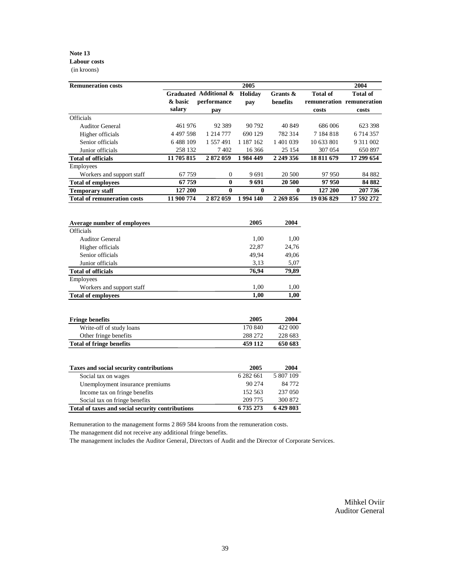#### **Note 13 Labour costs** (in kroons)

Employees

**Total of fringe benefits 459 112 650 683**

| <b>Remuneration costs</b>          |                   |                                              | 2005           |                         |                          | 2004                                                  |
|------------------------------------|-------------------|----------------------------------------------|----------------|-------------------------|--------------------------|-------------------------------------------------------|
|                                    | & basic<br>salary | Graduated Additional &<br>performance<br>pay | Holiday<br>pay | Grants $\&$<br>benefits | <b>Total of</b><br>costs | <b>Total of</b><br>remuneration remuneration<br>costs |
| <b>Officials</b>                   |                   |                                              |                |                         |                          |                                                       |
| <b>Auditor General</b>             | 461 976           | 92 3 8 9                                     | 90 792         | 40 849                  | 686 006                  | 623 398                                               |
| Higher officials                   | 4 4 9 7 5 9 8     | 1 214 777                                    | 690 129        | 782 314                 | 7 184 818                | 6 714 357                                             |
| Senior officials                   | 6488109           | 1 557 491                                    | 1 187 162      | 1 401 039               | 10 633 801               | 9 311 002                                             |
| Junior officials                   | 258 132           | 7402                                         | 16 366         | 25 154                  | 307 054                  | 650 897                                               |
| <b>Total of officials</b>          | 11 705 815        | 2872059                                      | 1984 449       | 2 249 356               | 18 811 679               | 17 299 654                                            |
| Employees                          |                   |                                              |                |                         |                          |                                                       |
| Workers and support staff          | 67759             | $\overline{0}$                               | 9691           | 20 500                  | 97 950                   | 84 882                                                |
| <b>Total of employees</b>          | 67 759            | $\mathbf{0}$                                 | 9691           | 20 500                  | 97950                    | 84 882                                                |
| <b>Temporary staff</b>             | 127 200           | 0                                            | $\bf{0}$       | $\mathbf{0}$            | 127 200                  | 207 736                                               |
| <b>Total of remuneration costs</b> | 11 900 774        | 2872059                                      | 1994 140       | 2 269 856               | 19 036 829               | 17 592 272                                            |
| Average number of employees        |                   |                                              | 2005           | 2004                    |                          |                                                       |
| <b>Officials</b>                   |                   |                                              |                |                         |                          |                                                       |
| <b>Auditor General</b>             |                   |                                              | 1,00           | 1,00                    |                          |                                                       |
| Higher officials                   |                   |                                              | 22,87          | 24,76                   |                          |                                                       |
| Senior officials                   |                   |                                              | 49,94          | 49,06                   |                          |                                                       |

| Taxes and social security contributions          | 2005      | 2004      |
|--------------------------------------------------|-----------|-----------|
| Social tax on wages                              | 6 282 661 | 5 807 109 |
| Unemployment insurance premiums                  | 90 274    | 84 772    |
| Income tax on fringe benefits                    | 152.563   | 237 050   |
| Social tax on fringe benefits                    | 209 775   | 300 872   |
| Total of taxes and social security contributions | 6 735 273 | 6429803   |

Junior officials 3,13 5,07 **Total of officials 76,94 79,89**

Workers and support staff 1,00 1,00 **Total of employees 1,00 1,00**

**Fringe benefits 2005 2004** Write-off of study loans 170 840 422 000 Other fringe benefits 288 272 228 683<br>al of fringe benefits 459 112 650 683

Remuneration to the management forms 2 869 584 kroons from the remuneration costs.

The management did not receive any additional fringe benefits.

The management includes the Auditor General, Directors of Audit and the Director of Corporate Services.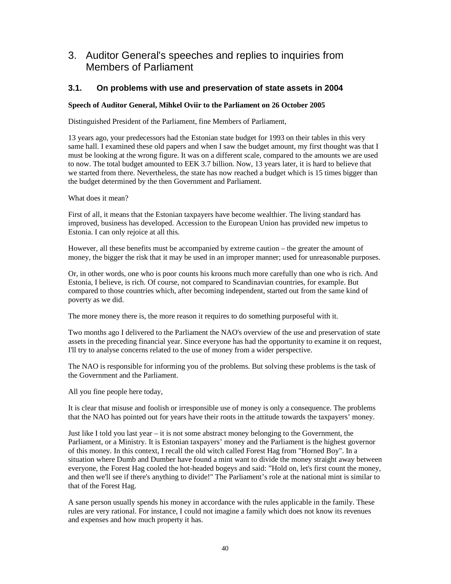## 3. Auditor General's speeches and replies to inquiries from Members of Parliament

## **3.1. On problems with use and preservation of state assets in 2004**

### **Speech of Auditor General, Mihkel Oviir to the Parliament on 26 October 2005**

Distinguished President of the Parliament, fine Members of Parliament,

13 years ago, your predecessors had the Estonian state budget for 1993 on their tables in this very same hall. I examined these old papers and when I saw the budget amount, my first thought was that I must be looking at the wrong figure. It was on a different scale, compared to the amounts we are used to now. The total budget amounted to EEK 3.7 billion. Now, 13 years later, it is hard to believe that we started from there. Nevertheless, the state has now reached a budget which is 15 times bigger than the budget determined by the then Government and Parliament.

What does it mean?

First of all, it means that the Estonian taxpayers have become wealthier. The living standard has improved, business has developed. Accession to the European Union has provided new impetus to Estonia. I can only rejoice at all this.

However, all these benefits must be accompanied by extreme caution – the greater the amount of money, the bigger the risk that it may be used in an improper manner; used for unreasonable purposes.

Or, in other words, one who is poor counts his kroons much more carefully than one who is rich. And Estonia, I believe, is rich. Of course, not compared to Scandinavian countries, for example. But compared to those countries which, after becoming independent, started out from the same kind of poverty as we did.

The more money there is, the more reason it requires to do something purposeful with it.

Two months ago I delivered to the Parliament the NAO's overview of the use and preservation of state assets in the preceding financial year. Since everyone has had the opportunity to examine it on request, I'll try to analyse concerns related to the use of money from a wider perspective.

The NAO is responsible for informing you of the problems. But solving these problems is the task of the Government and the Parliament.

All you fine people here today,

It is clear that misuse and foolish or irresponsible use of money is only a consequence. The problems that the NAO has pointed out for years have their roots in the attitude towards the taxpayers' money.

Just like I told you last year – it is not some abstract money belonging to the Government, the Parliament, or a Ministry. It is Estonian taxpayers' money and the Parliament is the highest governor of this money. In this context, I recall the old witch called Forest Hag from "Horned Boy". In a situation where Dumb and Dumber have found a mint want to divide the money straight away between everyone, the Forest Hag cooled the hot-headed bogeys and said: "Hold on, let's first count the money, and then we'll see if there's anything to divide!" The Parliament's role at the national mint is similar to that of the Forest Hag.

A sane person usually spends his money in accordance with the rules applicable in the family. These rules are very rational. For instance, I could not imagine a family which does not know its revenues and expenses and how much property it has.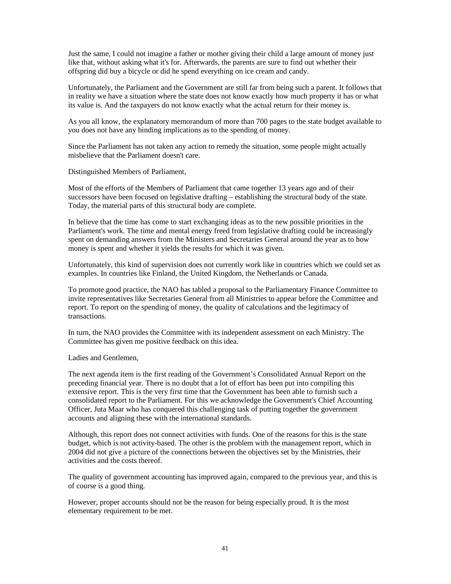Just the same, I could not imagine a father or mother giving their child a large amount of money just like that, without asking what it's for. Afterwards, the parents are sure to find out whether their offspring did buy a bicycle or did he spend everything on ice cream and candy.

Unfortunately, the Parliament and the Government are still far from being such a parent. It follows that in reality we have a situation where the state does not know exactly how much property it has or what its value is. And the taxpayers do not know exactly what the actual return for their money is.

As you all know, the explanatory memorandum of more than 700 pages to the state budget available to you does not have any binding implications as to the spending of money.

Since the Parliament has not taken any action to remedy the situation, some people might actually misbelieve that the Parliament doesn't care.

Distinguished Members of Parliament,

Most of the efforts of the Members of Parliament that came together 13 years ago and of their successors have been focused on legislative drafting – establishing the structural body of the state. Today, the material parts of this structural body are complete.

In believe that the time has come to start exchanging ideas as to the new possible priorities in the Parliament's work. The time and mental energy freed from legislative drafting could be increasingly spent on demanding answers from the Ministers and Secretaries General around the year as to how money is spent and whether it yields the results for which it was given.

Unfortunately, this kind of supervision does not currently work like in countries which we could set as examples. In countries like Finland, the United Kingdom, the Netherlands or Canada.

To promote good practice, the NAO has tabled a proposal to the Parliamentary Finance Committee to invite representatives like Secretaries General from all Ministries to appear before the Committee and report. To report on the spending of money, the quality of calculations and the legitimacy of transactions.

In turn, the NAO provides the Committee with its independent assessment on each Ministry. The Committee has given me positive feedback on this idea.

Ladies and Gentlemen,

The next agenda item is the first reading of the Government's Consolidated Annual Report on the preceding financial year. There is no doubt that a lot of effort has been put into compiling this extensive report. This is the very first time that the Government has been able to furnish such a consolidated report to the Parliament. For this we acknowledge the Government's Chief Accounting Officer, Juta Maar who has conquered this challenging task of putting together the government accounts and aligning these with the international standards.

Although, this report does not connect activities with funds. One of the reasons for this is the state budget, which is not activity-based. The other is the problem with the management report, which in 2004 did not give a picture of the connections between the objectives set by the Ministries, their activities and the costs thereof.

The quality of government accounting has improved again, compared to the previous year, and this is of course is a good thing.

However, proper accounts should not be the reason for being especially proud. It is the most elementary requirement to be met.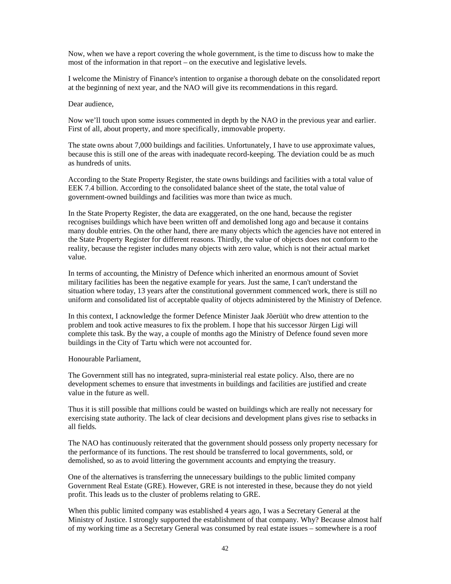Now, when we have a report covering the whole government, is the time to discuss how to make the most of the information in that report – on the executive and legislative levels.

I welcome the Ministry of Finance's intention to organise a thorough debate on the consolidated report at the beginning of next year, and the NAO will give its recommendations in this regard.

Dear audience,

Now we'll touch upon some issues commented in depth by the NAO in the previous year and earlier. First of all, about property, and more specifically, immovable property.

The state owns about 7,000 buildings and facilities. Unfortunately, I have to use approximate values, because this is still one of the areas with inadequate record-keeping. The deviation could be as much as hundreds of units.

According to the State Property Register, the state owns buildings and facilities with a total value of EEK 7.4 billion. According to the consolidated balance sheet of the state, the total value of government-owned buildings and facilities was more than twice as much.

In the State Property Register, the data are exaggerated, on the one hand, because the register recognises buildings which have been written off and demolished long ago and because it contains many double entries. On the other hand, there are many objects which the agencies have not entered in the State Property Register for different reasons. Thirdly, the value of objects does not conform to the reality, because the register includes many objects with zero value, which is not their actual market value.

In terms of accounting, the Ministry of Defence which inherited an enormous amount of Soviet military facilities has been the negative example for years. Just the same, I can't understand the situation where today, 13 years after the constitutional government commenced work, there is still no uniform and consolidated list of acceptable quality of objects administered by the Ministry of Defence.

In this context, I acknowledge the former Defence Minister Jaak Jõerüüt who drew attention to the problem and took active measures to fix the problem. I hope that his successor Jürgen Ligi will complete this task. By the way, a couple of months ago the Ministry of Defence found seven more buildings in the City of Tartu which were not accounted for.

Honourable Parliament,

The Government still has no integrated, supra-ministerial real estate policy. Also, there are no development schemes to ensure that investments in buildings and facilities are justified and create value in the future as well.

Thus it is still possible that millions could be wasted on buildings which are really not necessary for exercising state authority. The lack of clear decisions and development plans gives rise to setbacks in all fields.

The NAO has continuously reiterated that the government should possess only property necessary for the performance of its functions. The rest should be transferred to local governments, sold, or demolished, so as to avoid littering the government accounts and emptying the treasury.

One of the alternatives is transferring the unnecessary buildings to the public limited company Government Real Estate (GRE). However, GRE is not interested in these, because they do not yield profit. This leads us to the cluster of problems relating to GRE.

When this public limited company was established 4 years ago, I was a Secretary General at the Ministry of Justice. I strongly supported the establishment of that company. Why? Because almost half of my working time as a Secretary General was consumed by real estate issues – somewhere is a roof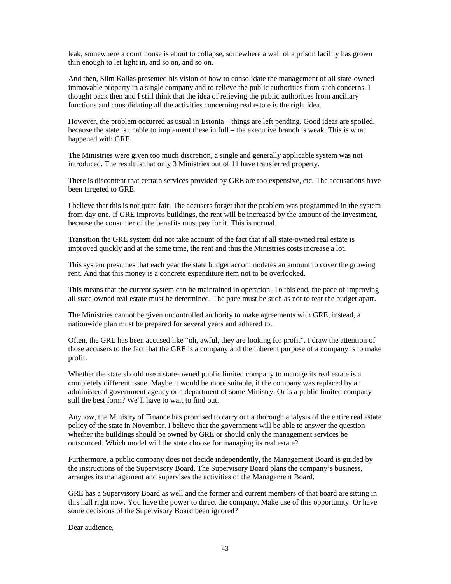leak, somewhere a court house is about to collapse, somewhere a wall of a prison facility has grown thin enough to let light in, and so on, and so on.

And then, Siim Kallas presented his vision of how to consolidate the management of all state-owned immovable property in a single company and to relieve the public authorities from such concerns. I thought back then and I still think that the idea of relieving the public authorities from ancillary functions and consolidating all the activities concerning real estate is the right idea.

However, the problem occurred as usual in Estonia – things are left pending. Good ideas are spoiled, because the state is unable to implement these in full – the executive branch is weak. This is what happened with GRE.

The Ministries were given too much discretion, a single and generally applicable system was not introduced. The result is that only 3 Ministries out of 11 have transferred property.

There is discontent that certain services provided by GRE are too expensive, etc. The accusations have been targeted to GRE.

I believe that this is not quite fair. The accusers forget that the problem was programmed in the system from day one. If GRE improves buildings, the rent will be increased by the amount of the investment, because the consumer of the benefits must pay for it. This is normal.

Transition the GRE system did not take account of the fact that if all state-owned real estate is improved quickly and at the same time, the rent and thus the Ministries costs increase a lot.

This system presumes that each year the state budget accommodates an amount to cover the growing rent. And that this money is a concrete expenditure item not to be overlooked.

This means that the current system can be maintained in operation. To this end, the pace of improving all state-owned real estate must be determined. The pace must be such as not to tear the budget apart.

The Ministries cannot be given uncontrolled authority to make agreements with GRE, instead, a nationwide plan must be prepared for several years and adhered to.

Often, the GRE has been accused like "oh, awful, they are looking for profit". I draw the attention of those accusers to the fact that the GRE is a company and the inherent purpose of a company is to make profit.

Whether the state should use a state-owned public limited company to manage its real estate is a completely different issue. Maybe it would be more suitable, if the company was replaced by an administered government agency or a department of some Ministry. Or is a public limited company still the best form? We'll have to wait to find out.

Anyhow, the Ministry of Finance has promised to carry out a thorough analysis of the entire real estate policy of the state in November. I believe that the government will be able to answer the question whether the buildings should be owned by GRE or should only the management services be outsourced. Which model will the state choose for managing its real estate?

Furthermore, a public company does not decide independently, the Management Board is guided by the instructions of the Supervisory Board. The Supervisory Board plans the company's business, arranges its management and supervises the activities of the Management Board.

GRE has a Supervisory Board as well and the former and current members of that board are sitting in this hall right now. You have the power to direct the company. Make use of this opportunity. Or have some decisions of the Supervisory Board been ignored?

Dear audience,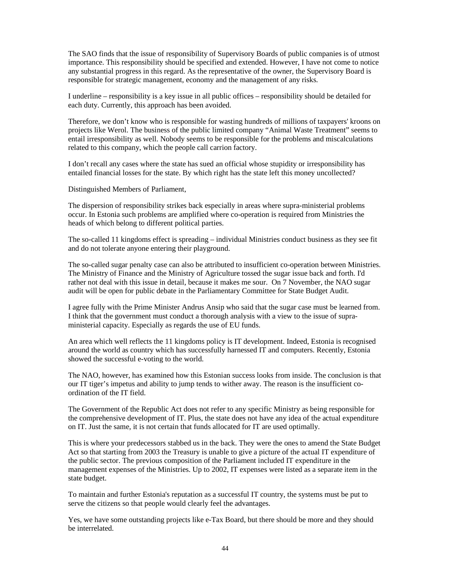The SAO finds that the issue of responsibility of Supervisory Boards of public companies is of utmost importance. This responsibility should be specified and extended. However, I have not come to notice any substantial progress in this regard. As the representative of the owner, the Supervisory Board is responsible for strategic management, economy and the management of any risks.

I underline – responsibility is a key issue in all public offices – responsibility should be detailed for each duty. Currently, this approach has been avoided.

Therefore, we don't know who is responsible for wasting hundreds of millions of taxpayers' kroons on projects like Werol. The business of the public limited company "Animal Waste Treatment" seems to entail irresponsibility as well. Nobody seems to be responsible for the problems and miscalculations related to this company, which the people call carrion factory.

I don't recall any cases where the state has sued an official whose stupidity or irresponsibility has entailed financial losses for the state. By which right has the state left this money uncollected?

Distinguished Members of Parliament,

The dispersion of responsibility strikes back especially in areas where supra-ministerial problems occur. In Estonia such problems are amplified where co-operation is required from Ministries the heads of which belong to different political parties.

The so-called 11 kingdoms effect is spreading – individual Ministries conduct business as they see fit and do not tolerate anyone entering their playground.

The so-called sugar penalty case can also be attributed to insufficient co-operation between Ministries. The Ministry of Finance and the Ministry of Agriculture tossed the sugar issue back and forth. I'd rather not deal with this issue in detail, because it makes me sour. On 7 November, the NAO sugar audit will be open for public debate in the Parliamentary Committee for State Budget Audit.

I agree fully with the Prime Minister Andrus Ansip who said that the sugar case must be learned from. I think that the government must conduct a thorough analysis with a view to the issue of supraministerial capacity. Especially as regards the use of EU funds.

An area which well reflects the 11 kingdoms policy is IT development. Indeed, Estonia is recognised around the world as country which has successfully harnessed IT and computers. Recently, Estonia showed the successful e-voting to the world.

The NAO, however, has examined how this Estonian success looks from inside. The conclusion is that our IT tiger's impetus and ability to jump tends to wither away. The reason is the insufficient coordination of the IT field.

The Government of the Republic Act does not refer to any specific Ministry as being responsible for the comprehensive development of IT. Plus, the state does not have any idea of the actual expenditure on IT. Just the same, it is not certain that funds allocated for IT are used optimally.

This is where your predecessors stabbed us in the back. They were the ones to amend the State Budget Act so that starting from 2003 the Treasury is unable to give a picture of the actual IT expenditure of the public sector. The previous composition of the Parliament included IT expenditure in the management expenses of the Ministries. Up to 2002, IT expenses were listed as a separate item in the state budget.

To maintain and further Estonia's reputation as a successful IT country, the systems must be put to serve the citizens so that people would clearly feel the advantages.

Yes, we have some outstanding projects like e-Tax Board, but there should be more and they should be interrelated.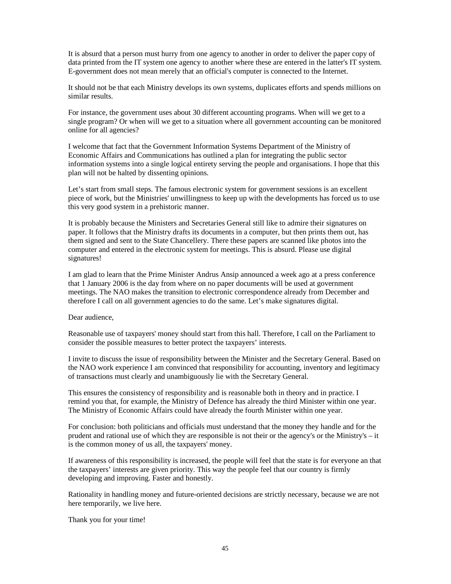It is absurd that a person must hurry from one agency to another in order to deliver the paper copy of data printed from the IT system one agency to another where these are entered in the latter's IT system. E-government does not mean merely that an official's computer is connected to the Internet.

It should not be that each Ministry develops its own systems, duplicates efforts and spends millions on similar results.

For instance, the government uses about 30 different accounting programs. When will we get to a single program? Or when will we get to a situation where all government accounting can be monitored online for all agencies?

I welcome that fact that the Government Information Systems Department of the Ministry of Economic Affairs and Communications has outlined a plan for integrating the public sector information systems into a single logical entirety serving the people and organisations. I hope that this plan will not be halted by dissenting opinions.

Let's start from small steps. The famous electronic system for government sessions is an excellent piece of work, but the Ministries' unwillingness to keep up with the developments has forced us to use this very good system in a prehistoric manner.

It is probably because the Ministers and Secretaries General still like to admire their signatures on paper. It follows that the Ministry drafts its documents in a computer, but then prints them out, has them signed and sent to the State Chancellery. There these papers are scanned like photos into the computer and entered in the electronic system for meetings. This is absurd. Please use digital signatures!

I am glad to learn that the Prime Minister Andrus Ansip announced a week ago at a press conference that 1 January 2006 is the day from where on no paper documents will be used at government meetings. The NAO makes the transition to electronic correspondence already from December and therefore I call on all government agencies to do the same. Let's make signatures digital.

Dear audience,

Reasonable use of taxpayers' money should start from this hall. Therefore, I call on the Parliament to consider the possible measures to better protect the taxpayers' interests.

I invite to discuss the issue of responsibility between the Minister and the Secretary General. Based on the NAO work experience I am convinced that responsibility for accounting, inventory and legitimacy of transactions must clearly and unambiguously lie with the Secretary General.

This ensures the consistency of responsibility and is reasonable both in theory and in practice. I remind you that, for example, the Ministry of Defence has already the third Minister within one year. The Ministry of Economic Affairs could have already the fourth Minister within one year.

For conclusion: both politicians and officials must understand that the money they handle and for the prudent and rational use of which they are responsible is not their or the agency's or the Ministry's – it is the common money of us all, the taxpayers' money.

If awareness of this responsibility is increased, the people will feel that the state is for everyone an that the taxpayers' interests are given priority. This way the people feel that our country is firmly developing and improving. Faster and honestly.

Rationality in handling money and future-oriented decisions are strictly necessary, because we are not here temporarily, we live here.

Thank you for your time!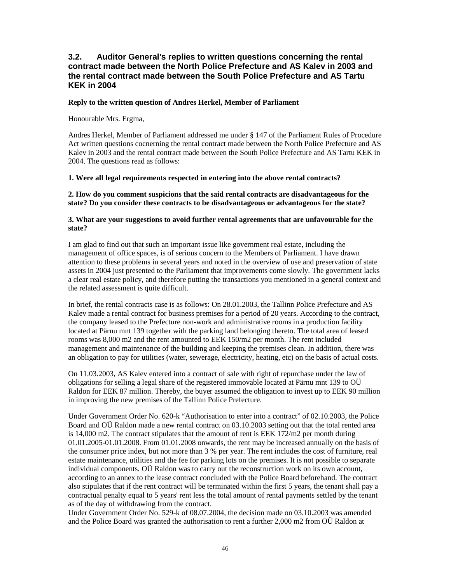## **3.2. Auditor General's replies to written questions concerning the rental contract made between the North Police Prefecture and AS Kalev in 2003 and the rental contract made between the South Police Prefecture and AS Tartu KEK in 2004**

#### **Reply to the written question of Andres Herkel, Member of Parliament**

Honourable Mrs. Ergma,

Andres Herkel, Member of Parliament addressed me under § 147 of the Parliament Rules of Procedure Act written questions cocnerning the rental contract made between the North Police Prefecture and AS Kalev in 2003 and the rental contract made between the South Police Prefecture and AS Tartu KEK in 2004. The questions read as follows:

#### **1. Were all legal requirements respected in entering into the above rental contracts?**

#### **2. How do you comment suspicions that the said rental contracts are disadvantageous for the state? Do you consider these contracts to be disadvantageous or advantageous for the state?**

#### **3. What are your suggestions to avoid further rental agreements that are unfavourable for the state?**

I am glad to find out that such an important issue like government real estate, including the management of office spaces, is of serious concern to the Members of Parliament. I have drawn attention to these problems in several years and noted in the overview of use and preservation of state assets in 2004 just presented to the Parliament that improvements come slowly. The government lacks a clear real estate policy, and therefore putting the transactions you mentioned in a general context and the related assessment is quite difficult.

In brief, the rental contracts case is as follows: On 28.01.2003, the Tallinn Police Prefecture and AS Kalev made a rental contract for business premises for a period of 20 years. According to the contract, the company leased to the Prefecture non-work and administrative rooms in a production facility located at Pärnu mnt 139 together with the parking land belonging thereto. The total area of leased rooms was 8,000 m2 and the rent amounted to EEK 150/m2 per month. The rent included management and maintenance of the building and keeping the premises clean. In addition, there was an obligation to pay for utilities (water, sewerage, electricity, heating, etc) on the basis of actual costs.

On 11.03.2003, AS Kalev entered into a contract of sale with right of repurchase under the law of obligations for selling a legal share of the registered immovable located at Pärnu mnt 139 to OÜ Raldon for EEK 87 million. Thereby, the buyer assumed the obligation to invest up to EEK 90 million in improving the new premises of the Tallinn Police Prefecture.

Under Government Order No. 620-k "Authorisation to enter into a contract" of 02.10.2003, the Police Board and OÜ Raldon made a new rental contract on 03.10.2003 setting out that the total rented area is 14,000 m2. The contract stipulates that the amount of rent is EEK 172/m2 per month during 01.01.2005-01.01.2008. From 01.01.2008 onwards, the rent may be increased annually on the basis of the consumer price index, but not more than 3 % per year. The rent includes the cost of furniture, real estate maintenance, utilities and the fee for parking lots on the premises. It is not possible to separate individual components. OÜ Raldon was to carry out the reconstruction work on its own account, according to an annex to the lease contract concluded with the Police Board beforehand. The contract also stipulates that if the rent contract will be terminated within the first 5 years, the tenant shall pay a contractual penalty equal to 5 years' rent less the total amount of rental payments settled by the tenant as of the day of withdrawing from the contract.

Under Government Order No. 529-k of 08.07.2004, the decision made on 03.10.2003 was amended and the Police Board was granted the authorisation to rent a further 2,000 m2 from OÜ Raldon at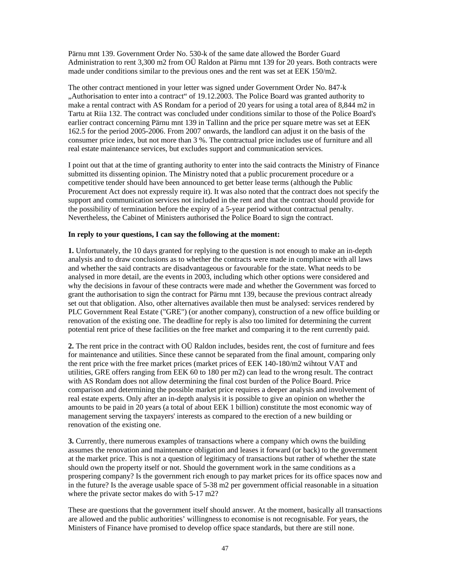Pärnu mnt 139. Government Order No. 530-k of the same date allowed the Border Guard Administration to rent 3,300 m2 from OÜ Raldon at Pärnu mnt 139 for 20 years. Both contracts were made under conditions similar to the previous ones and the rent was set at EEK 150/m2.

The other contract mentioned in your letter was signed under Government Order No. 847-k "Authorisation to enter into a contract" of 19.12.2003. The Police Board was granted authority to make a rental contract with AS Rondam for a period of 20 years for using a total area of 8,844 m2 in Tartu at Riia 132. The contract was concluded under conditions similar to those of the Police Board's earlier contract concerning Pärnu mnt 139 in Tallinn and the price per square metre was set at EEK 162.5 for the period 2005-2006. From 2007 onwards, the landlord can adjust it on the basis of the consumer price index, but not more than 3 %. The contractual price includes use of furniture and all real estate maintenance services, but excludes support and communication services.

I point out that at the time of granting authority to enter into the said contracts the Ministry of Finance submitted its dissenting opinion. The Ministry noted that a public procurement procedure or a competitive tender should have been announced to get better lease terms (although the Public Procurement Act does not expressly require it). It was also noted that the contract does not specify the support and communication services not included in the rent and that the contract should provide for the possibility of termination before the expiry of a 5-year period without contractual penalty. Nevertheless, the Cabinet of Ministers authorised the Police Board to sign the contract.

#### **In reply to your questions, I can say the following at the moment:**

**1.** Unfortunately, the 10 days granted for replying to the question is not enough to make an in-depth analysis and to draw conclusions as to whether the contracts were made in compliance with all laws and whether the said contracts are disadvantageous or favourable for the state. What needs to be analysed in more detail, are the events in 2003, including which other options were considered and why the decisions in favour of these contracts were made and whether the Government was forced to grant the authorisation to sign the contract for Pärnu mnt 139, because the previous contract already set out that obligation. Also, other alternatives available then must be analysed: services rendered by PLC Government Real Estate ("GRE") (or another company), construction of a new office building or renovation of the existing one. The deadline for reply is also too limited for determining the current potential rent price of these facilities on the free market and comparing it to the rent currently paid.

**2.** The rent price in the contract with OÜ Raldon includes, besides rent, the cost of furniture and fees for maintenance and utilities. Since these cannot be separated from the final amount, comparing only the rent price with the free market prices (market prices of EEK 140-180/m2 wihtout VAT and utilities, GRE offers ranging from EEK 60 to 180 per m2) can lead to the wrong result. The contract with AS Rondam does not allow determining the final cost burden of the Police Board. Price comparison and determining the possible market price requires a deeper analysis and involvement of real estate experts. Only after an in-depth analysis it is possible to give an opinion on whether the amounts to be paid in 20 years (a total of about EEK 1 billion) constitute the most economic way of management serving the taxpayers' interests as compared to the erection of a new building or renovation of the existing one.

**3.** Currently, there numerous examples of transactions where a company which owns the building assumes the renovation and maintenance obligation and leases it forward (or back) to the government at the market price. This is not a question of legitimacy of transactions but rather of whether the state should own the property itself or not. Should the government work in the same conditions as a prospering company? Is the government rich enough to pay market prices for its office spaces now and in the future? Is the average usable space of 5-38 m2 per government official reasonable in a situation where the private sector makes do with 5-17 m2?

These are questions that the government itself should answer. At the moment, basically all transactions are allowed and the public authorities' willingness to economise is not recognisable. For years, the Ministers of Finance have promised to develop office space standards, but there are still none.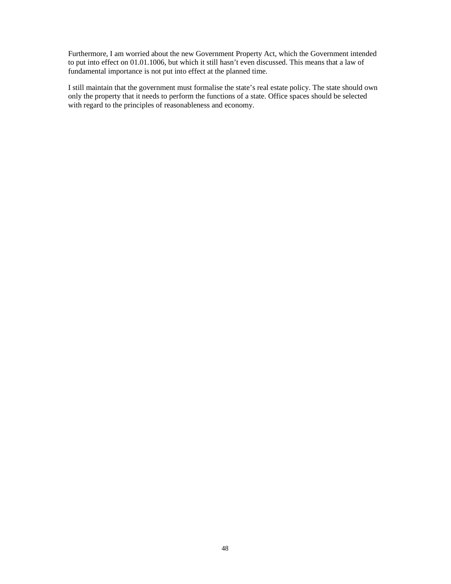Furthermore, I am worried about the new Government Property Act, which the Government intended to put into effect on 01.01.1006, but which it still hasn't even discussed. This means that a law of fundamental importance is not put into effect at the planned time.

I still maintain that the government must formalise the state's real estate policy. The state should own only the property that it needs to perform the functions of a state. Office spaces should be selected with regard to the principles of reasonableness and economy.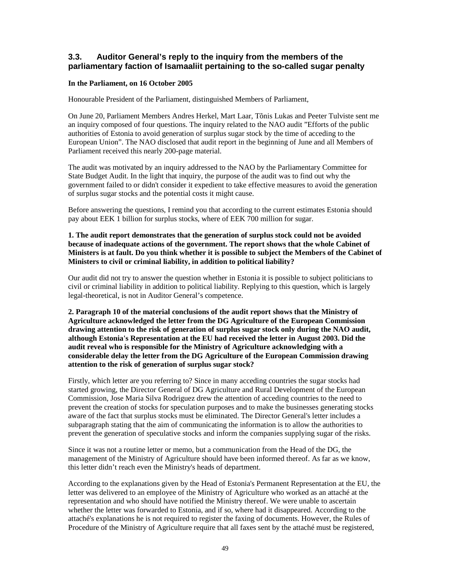## **3.3. Auditor General's reply to the inquiry from the members of the parliamentary faction of Isamaaliit pertaining to the so-called sugar penalty**

#### **In the Parliament, on 16 October 2005**

Honourable President of the Parliament, distinguished Members of Parliament,

On June 20, Parliament Members Andres Herkel, Mart Laar, Tõnis Lukas and Peeter Tulviste sent me an inquiry composed of four questions. The inquiry related to the NAO audit "Efforts of the public authorities of Estonia to avoid generation of surplus sugar stock by the time of acceding to the European Union". The NAO disclosed that audit report in the beginning of June and all Members of Parliament received this nearly 200-page material.

The audit was motivated by an inquiry addressed to the NAO by the Parliamentary Committee for State Budget Audit. In the light that inquiry, the purpose of the audit was to find out why the government failed to or didn't consider it expedient to take effective measures to avoid the generation of surplus sugar stocks and the potential costs it might cause.

Before answering the questions, I remind you that according to the current estimates Estonia should pay about EEK 1 billion for surplus stocks, where of EEK 700 million for sugar.

#### **1. The audit report demonstrates that the generation of surplus stock could not be avoided because of inadequate actions of the government. The report shows that the whole Cabinet of Ministers is at fault. Do you think whether it is possible to subject the Members of the Cabinet of Ministers to civil or criminal liability, in addition to political liability?**

Our audit did not try to answer the question whether in Estonia it is possible to subject politicians to civil or criminal liability in addition to political liability. Replying to this question, which is largely legal-theoretical, is not in Auditor General's competence.

**2. Paragraph 10 of the material conclusions of the audit report shows that the Ministry of Agriculture acknowledged the letter from the DG Agriculture of the European Commission drawing attention to the risk of generation of surplus sugar stock only during the NAO audit, although Estonia's Representation at the EU had received the letter in August 2003. Did the audit reveal who is responsible for the Ministry of Agriculture acknowledging with a considerable delay the letter from the DG Agriculture of the European Commission drawing attention to the risk of generation of surplus sugar stock?**

Firstly, which letter are you referring to? Since in many acceding countries the sugar stocks had started growing, the Director General of DG Agriculture and Rural Development of the European Commission, Jose Maria Silva Rodriguez drew the attention of acceding countries to the need to prevent the creation of stocks for speculation purposes and to make the businesses generating stocks aware of the fact that surplus stocks must be eliminated. The Director General's letter includes a subparagraph stating that the aim of communicating the information is to allow the authorities to prevent the generation of speculative stocks and inform the companies supplying sugar of the risks.

Since it was not a routine letter or memo, but a communication from the Head of the DG, the management of the Ministry of Agriculture should have been informed thereof. As far as we know, this letter didn't reach even the Ministry's heads of department.

According to the explanations given by the Head of Estonia's Permanent Representation at the EU, the letter was delivered to an employee of the Ministry of Agriculture who worked as an attaché at the representation and who should have notified the Ministry thereof. We were unable to ascertain whether the letter was forwarded to Estonia, and if so, where had it disappeared. According to the attaché's explanations he is not required to register the faxing of documents. However, the Rules of Procedure of the Ministry of Agriculture require that all faxes sent by the attaché must be registered,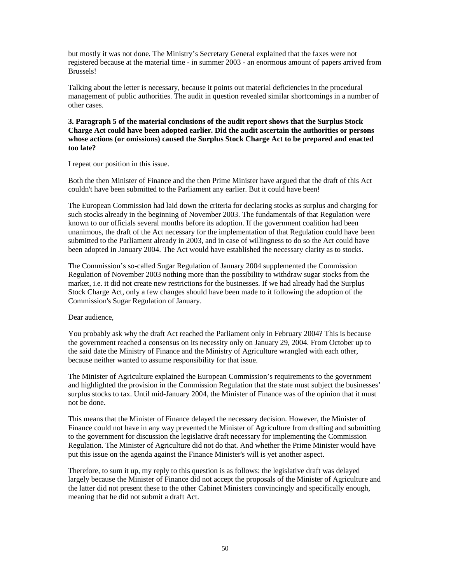but mostly it was not done. The Ministry's Secretary General explained that the faxes were not registered because at the material time - in summer 2003 - an enormous amount of papers arrived from Brussels!

Talking about the letter is necessary, because it points out material deficiencies in the procedural management of public authorities. The audit in question revealed similar shortcomings in a number of other cases.

#### **3. Paragraph 5 of the material conclusions of the audit report shows that the Surplus Stock Charge Act could have been adopted earlier. Did the audit ascertain the authorities or persons whose actions (or omissions) caused the Surplus Stock Charge Act to be prepared and enacted too late?**

I repeat our position in this issue.

Both the then Minister of Finance and the then Prime Minister have argued that the draft of this Act couldn't have been submitted to the Parliament any earlier. But it could have been!

The European Commission had laid down the criteria for declaring stocks as surplus and charging for such stocks already in the beginning of November 2003. The fundamentals of that Regulation were known to our officials several months before its adoption. If the government coalition had been unanimous, the draft of the Act necessary for the implementation of that Regulation could have been submitted to the Parliament already in 2003, and in case of willingness to do so the Act could have been adopted in January 2004. The Act would have established the necessary clarity as to stocks.

The Commission's so-called Sugar Regulation of January 2004 supplemented the Commission Regulation of November 2003 nothing more than the possibility to withdraw sugar stocks from the market, i.e. it did not create new restrictions for the businesses. If we had already had the Surplus Stock Charge Act, only a few changes should have been made to it following the adoption of the Commission's Sugar Regulation of January.

Dear audience,

You probably ask why the draft Act reached the Parliament only in February 2004? This is because the government reached a consensus on its necessity only on January 29, 2004. From October up to the said date the Ministry of Finance and the Ministry of Agriculture wrangled with each other, because neither wanted to assume responsibility for that issue.

The Minister of Agriculture explained the European Commission's requirements to the government and highlighted the provision in the Commission Regulation that the state must subject the businesses' surplus stocks to tax. Until mid-January 2004, the Minister of Finance was of the opinion that it must not be done.

This means that the Minister of Finance delayed the necessary decision. However, the Minister of Finance could not have in any way prevented the Minister of Agriculture from drafting and submitting to the government for discussion the legislative draft necessary for implementing the Commission Regulation. The Minister of Agriculture did not do that. And whether the Prime Minister would have put this issue on the agenda against the Finance Minister's will is yet another aspect.

Therefore, to sum it up, my reply to this question is as follows: the legislative draft was delayed largely because the Minister of Finance did not accept the proposals of the Minister of Agriculture and the latter did not present these to the other Cabinet Ministers convincingly and specifically enough, meaning that he did not submit a draft Act.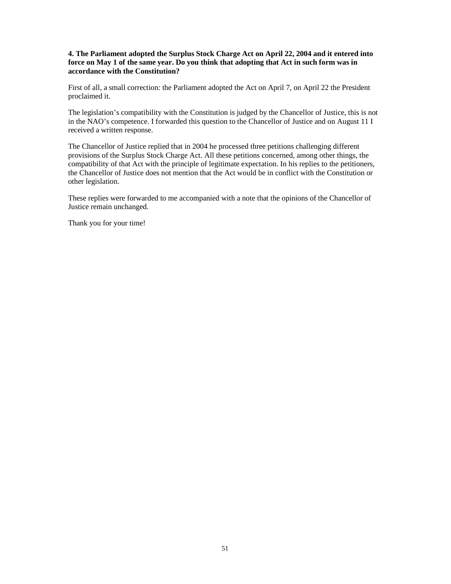#### **4. The Parliament adopted the Surplus Stock Charge Act on April 22, 2004 and it entered into force on May 1 of the same year. Do you think that adopting that Act in such form was in accordance with the Constitution?**

First of all, a small correction: the Parliament adopted the Act on April 7, on April 22 the President proclaimed it.

The legislation's compatibility with the Constitution is judged by the Chancellor of Justice, this is not in the NAO's competence. I forwarded this question to the Chancellor of Justice and on August 11 I received a written response.

The Chancellor of Justice replied that in 2004 he processed three petitions challenging different provisions of the Surplus Stock Charge Act. All these petitions concerned, among other things, the compatibility of that Act with the principle of legitimate expectation. In his replies to the petitioners, the Chancellor of Justice does not mention that the Act would be in conflict with the Constitution or other legislation.

These replies were forwarded to me accompanied with a note that the opinions of the Chancellor of Justice remain unchanged.

Thank you for your time!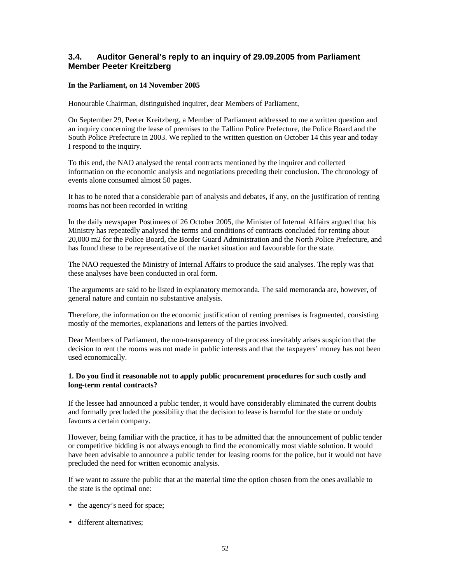## **3.4. Auditor General's reply to an inquiry of 29.09.2005 from Parliament Member Peeter Kreitzberg**

#### **In the Parliament, on 14 November 2005**

Honourable Chairman, distinguished inquirer, dear Members of Parliament,

On September 29, Peeter Kreitzberg, a Member of Parliament addressed to me a written question and an inquiry concerning the lease of premises to the Tallinn Police Prefecture, the Police Board and the South Police Prefecture in 2003. We replied to the written question on October 14 this year and today I respond to the inquiry.

To this end, the NAO analysed the rental contracts mentioned by the inquirer and collected information on the economic analysis and negotiations preceding their conclusion. The chronology of events alone consumed almost 50 pages.

It has to be noted that a considerable part of analysis and debates, if any, on the justification of renting rooms has not been recorded in writing

In the daily newspaper Postimees of 26 October 2005, the Minister of Internal Affairs argued that his Ministry has repeatedly analysed the terms and conditions of contracts concluded for renting about 20,000 m2 for the Police Board, the Border Guard Administration and the North Police Prefecture, and has found these to be representative of the market situation and favourable for the state.

The NAO requested the Ministry of Internal Affairs to produce the said analyses. The reply was that these analyses have been conducted in oral form.

The arguments are said to be listed in explanatory memoranda. The said memoranda are, however, of general nature and contain no substantive analysis.

Therefore, the information on the economic justification of renting premises is fragmented, consisting mostly of the memories, explanations and letters of the parties involved.

Dear Members of Parliament, the non-transparency of the process inevitably arises suspicion that the decision to rent the rooms was not made in public interests and that the taxpayers' money has not been used economically.

#### **1. Do you find it reasonable not to apply public procurement procedures for such costly and long-term rental contracts?**

If the lessee had announced a public tender, it would have considerably eliminated the current doubts and formally precluded the possibility that the decision to lease is harmful for the state or unduly favours a certain company.

However, being familiar with the practice, it has to be admitted that the announcement of public tender or competitive bidding is not always enough to find the economically most viable solution. It would have been advisable to announce a public tender for leasing rooms for the police, but it would not have precluded the need for written economic analysis.

If we want to assure the public that at the material time the option chosen from the ones available to the state is the optimal one:

- the agency's need for space;
- different alternatives: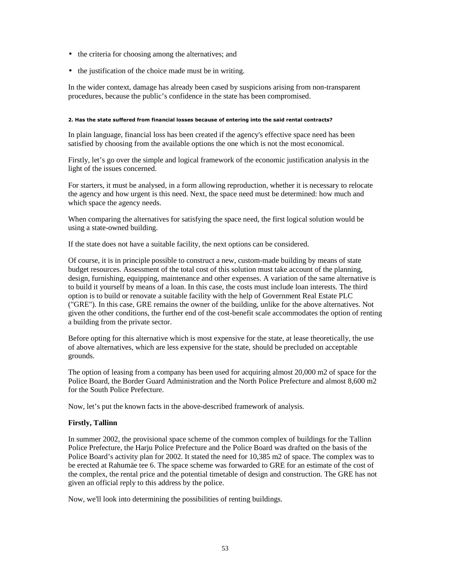- the criteria for choosing among the alternatives; and
- the justification of the choice made must be in writing.

In the wider context, damage has already been cased by suspicions arising from non-transparent procedures, because the public's confidence in the state has been compromised.

#### 2. Has the state suffered from financial losses because of entering into the said rental contracts?

In plain language, financial loss has been created if the agency's effective space need has been satisfied by choosing from the available options the one which is not the most economical.

Firstly, let's go over the simple and logical framework of the economic justification analysis in the light of the issues concerned.

For starters, it must be analysed, in a form allowing reproduction, whether it is necessary to relocate the agency and how urgent is this need. Next, the space need must be determined: how much and which space the agency needs.

When comparing the alternatives for satisfying the space need, the first logical solution would be using a state-owned building.

If the state does not have a suitable facility, the next options can be considered.

Of course, it is in principle possible to construct a new, custom-made building by means of state budget resources. Assessment of the total cost of this solution must take account of the planning, design, furnishing, equipping, maintenance and other expenses. A variation of the same alternative is to build it yourself by means of a loan. In this case, the costs must include loan interests. The third option is to build or renovate a suitable facility with the help of Government Real Estate PLC ("GRE"). In this case, GRE remains the owner of the building, unlike for the above alternatives. Not given the other conditions, the further end of the cost-benefit scale accommodates the option of renting a building from the private sector.

Before opting for this alternative which is most expensive for the state, at lease theoretically, the use of above alternatives, which are less expensive for the state, should be precluded on acceptable grounds.

The option of leasing from a company has been used for acquiring almost 20,000 m2 of space for the Police Board, the Border Guard Administration and the North Police Prefecture and almost 8,600 m2 for the South Police Prefecture.

Now, let's put the known facts in the above-described framework of analysis.

#### **Firstly, Tallinn**

In summer 2002, the provisional space scheme of the common complex of buildings for the Tallinn Police Prefecture, the Harju Police Prefecture and the Police Board was drafted on the basis of the Police Board's activity plan for 2002. It stated the need for 10,385 m2 of space. The complex was to be erected at Rahumäe tee 6. The space scheme was forwarded to GRE for an estimate of the cost of the complex, the rental price and the potential timetable of design and construction. The GRE has not given an official reply to this address by the police.

Now, we'll look into determining the possibilities of renting buildings.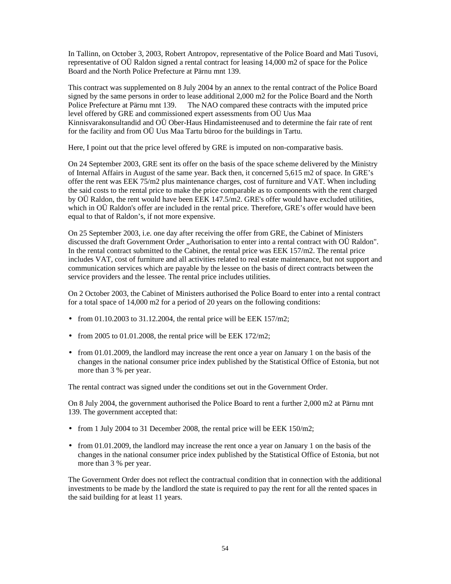In Tallinn, on October 3, 2003, Robert Antropov, representative of the Police Board and Mati Tusovi, representative of OÜ Raldon signed a rental contract for leasing 14,000 m2 of space for the Police Board and the North Police Prefecture at Pärnu mnt 139.

This contract was supplemented on 8 July 2004 by an annex to the rental contract of the Police Board signed by the same persons in order to lease additional 2,000 m2 for the Police Board and the North Police Prefecture at Pärnu mnt 139. The NAO compared these contracts with the imputed price level offered by GRE and commissioned expert assessments from OÜ Uus Maa Kinnisvarakonsultandid and OÜ Ober-Haus Hindamisteenused and to determine the fair rate of rent for the facility and from OÜ Uus Maa Tartu büroo for the buildings in Tartu.

Here, I point out that the price level offered by GRE is imputed on non-comparative basis.

On 24 September 2003, GRE sent its offer on the basis of the space scheme delivered by the Ministry of Internal Affairs in August of the same year. Back then, it concerned 5,615 m2 of space. In GRE's offer the rent was EEK 75/m2 plus maintenance charges, cost of furniture and VAT. When including the said costs to the rental price to make the price comparable as to components with the rent charged by OÜ Raldon, the rent would have been EEK 147.5/m2. GRE's offer would have excluded utilities, which in OÜ Raldon's offer are included in the rental price. Therefore, GRE's offer would have been equal to that of Raldon's, if not more expensive.

On 25 September 2003, i.e. one day after receiving the offer from GRE, the Cabinet of Ministers discussed the draft Government Order "Authorisation to enter into a rental contract with OÜ Raldon". In the rental contract submitted to the Cabinet, the rental price was EEK 157/m2. The rental price includes VAT, cost of furniture and all activities related to real estate maintenance, but not support and communication services which are payable by the lessee on the basis of direct contracts between the service providers and the lessee. The rental price includes utilities.

On 2 October 2003, the Cabinet of Ministers authorised the Police Board to enter into a rental contract for a total space of 14,000 m2 for a period of 20 years on the following conditions:

- from  $01.10.2003$  to  $31.12.2004$ , the rental price will be EEK  $157/m2$ ;
- from 2005 to 01.01.2008, the rental price will be EEK  $172/m2$ ;
- from 01.01.2009, the landlord may increase the rent once a year on January 1 on the basis of the changes in the national consumer price index published by the Statistical Office of Estonia, but not more than 3 % per year.

The rental contract was signed under the conditions set out in the Government Order.

On 8 July 2004, the government authorised the Police Board to rent a further 2,000 m2 at Pärnu mnt 139. The government accepted that:

- from 1 July 2004 to 31 December 2008, the rental price will be EEK 150/m2;
- from 01.01.2009, the landlord may increase the rent once a year on January 1 on the basis of the changes in the national consumer price index published by the Statistical Office of Estonia, but not more than 3 % per year.

The Government Order does not reflect the contractual condition that in connection with the additional investments to be made by the landlord the state is required to pay the rent for all the rented spaces in the said building for at least 11 years.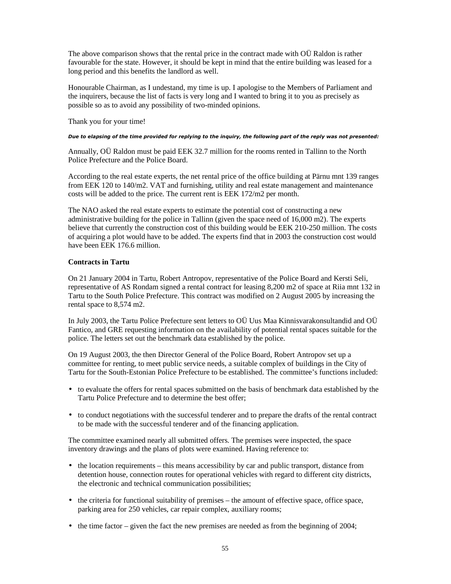The above comparison shows that the rental price in the contract made with OÜ Raldon is rather favourable for the state. However, it should be kept in mind that the entire building was leased for a long period and this benefits the landlord as well.

Honourable Chairman, as I undestand, my time is up. I apologise to the Members of Parliament and the inquirers, because the list of facts is very long and I wanted to bring it to you as precisely as possible so as to avoid any possibility of two-minded opinions.

Thank you for your time!

#### Due to elapsing of the time provided for replying to the inquiry, the following part of the reply was not presented:

Annually, OÜ Raldon must be paid EEK 32.7 million for the rooms rented in Tallinn to the North Police Prefecture and the Police Board.

According to the real estate experts, the net rental price of the office building at Pärnu mnt 139 ranges from EEK 120 to 140/m2. VAT and furnishing, utility and real estate management and maintenance costs will be added to the price. The current rent is EEK 172/m2 per month.

The NAO asked the real estate experts to estimate the potential cost of constructing a new administrative building for the police in Tallinn (given the space need of 16,000 m2). The experts believe that currently the construction cost of this building would be EEK 210-250 million. The costs of acquiring a plot would have to be added. The experts find that in 2003 the construction cost would have been EEK 176.6 million

#### **Contracts in Tartu**

On 21 January 2004 in Tartu, Robert Antropov, representative of the Police Board and Kersti Seli, representative of AS Rondam signed a rental contract for leasing 8,200 m2 of space at Riia mnt 132 in Tartu to the South Police Prefecture. This contract was modified on 2 August 2005 by increasing the rental space to 8,574 m2.

In July 2003, the Tartu Police Prefecture sent letters to OÜ Uus Maa Kinnisvarakonsultandid and OÜ Fantico, and GRE requesting information on the availability of potential rental spaces suitable for the police. The letters set out the benchmark data established by the police.

On 19 August 2003, the then Director General of the Police Board, Robert Antropov set up a committee for renting, to meet public service needs, a suitable complex of buildings in the City of Tartu for the South-Estonian Police Prefecture to be established. The committee's functions included:

- to evaluate the offers for rental spaces submitted on the basis of benchmark data established by the Tartu Police Prefecture and to determine the best offer;
- to conduct negotiations with the successful tenderer and to prepare the drafts of the rental contract to be made with the successful tenderer and of the financing application.

The committee examined nearly all submitted offers. The premises were inspected, the space inventory drawings and the plans of plots were examined. Having reference to:

- the location requirements this means accessibility by car and public transport, distance from detention house, connection routes for operational vehicles with regard to different city districts, the electronic and technical communication possibilities;
- the criteria for functional suitability of premises the amount of effective space, office space, parking area for 250 vehicles, car repair complex, auxiliary rooms;
- the time factor given the fact the new premises are needed as from the beginning of 2004;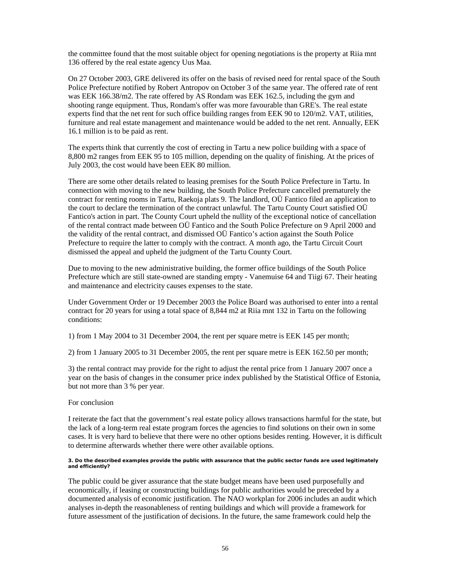the committee found that the most suitable object for opening negotiations is the property at Riia mnt 136 offered by the real estate agency Uus Maa.

On 27 October 2003, GRE delivered its offer on the basis of revised need for rental space of the South Police Prefecture notified by Robert Antropov on October 3 of the same year. The offered rate of rent was EEK 166.38/m2. The rate offered by AS Rondam was EEK 162.5, including the gym and shooting range equipment. Thus, Rondam's offer was more favourable than GRE's. The real estate experts find that the net rent for such office building ranges from EEK 90 to 120/m2. VAT, utilities, furniture and real estate management and maintenance would be added to the net rent. Annually, EEK 16.1 million is to be paid as rent.

The experts think that currently the cost of erecting in Tartu a new police building with a space of 8,800 m2 ranges from EEK 95 to 105 million, depending on the quality of finishing. At the prices of July 2003, the cost would have been EEK 80 million.

There are some other details related to leasing premises for the South Police Prefecture in Tartu. In connection with moving to the new building, the South Police Prefecture cancelled prematurely the contract for renting rooms in Tartu, Raekoja plats 9. The landlord, OÜ Fantico filed an application to the court to declare the termination of the contract unlawful. The Tartu County Court satisfied OÜ Fantico's action in part. The County Court upheld the nullity of the exceptional notice of cancellation of the rental contract made between OÜ Fantico and the South Police Prefecture on 9 April 2000 and the validity of the rental contract, and dismissed OÜ Fantico's action against the South Police Prefecture to require the latter to comply with the contract. A month ago, the Tartu Circuit Court dismissed the appeal and upheld the judgment of the Tartu County Court.

Due to moving to the new administrative building, the former office buildings of the South Police Prefecture which are still state-owned are standing empty - Vanemuise 64 and Tiigi 67. Their heating and maintenance and electricity causes expenses to the state.

Under Government Order or 19 December 2003 the Police Board was authorised to enter into a rental contract for 20 years for using a total space of 8,844 m2 at Riia mnt 132 in Tartu on the following conditions:

1) from 1 May 2004 to 31 December 2004, the rent per square metre is EEK 145 per month;

2) from 1 January 2005 to 31 December 2005, the rent per square metre is EEK 162.50 per month;

3) the rental contract may provide for the right to adjust the rental price from 1 January 2007 once a year on the basis of changes in the consumer price index published by the Statistical Office of Estonia, but not more than 3 % per year.

#### For conclusion

I reiterate the fact that the government's real estate policy allows transactions harmful for the state, but the lack of a long-term real estate program forces the agencies to find solutions on their own in some cases. It is very hard to believe that there were no other options besides renting. However, it is difficult to determine afterwards whether there were other available options.

#### 3. Do the described examples provide the public with assurance that the public sector funds are used legitimately and efficiently?

The public could be giver assurance that the state budget means have been used purposefully and economically, if leasing or constructing buildings for public authorities would be preceded by a documented analysis of economic justification. The NAO workplan for 2006 includes an audit which analyses in-depth the reasonableness of renting buildings and which will provide a framework for future assessment of the justification of decisions. In the future, the same framework could help the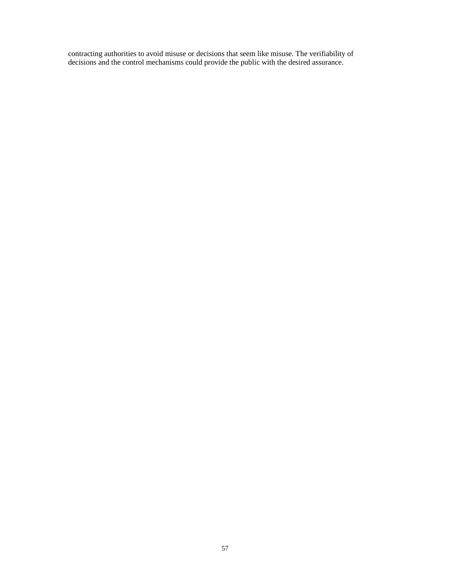contracting authorities to avoid misuse or decisions that seem like misuse. The verifiability of decisions and the control mechanisms could provide the public with the desired assurance.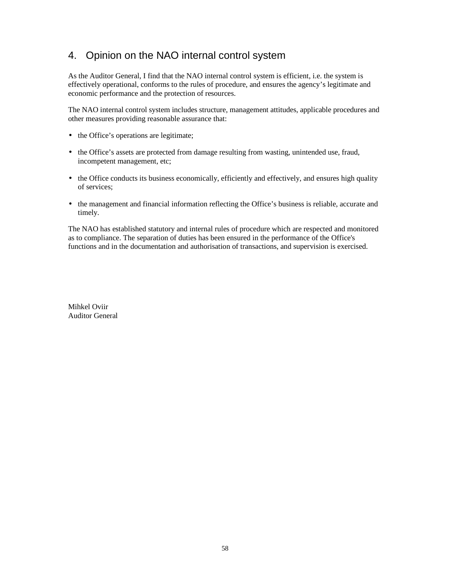## 4. Opinion on the NAO internal control system

As the Auditor General, I find that the NAO internal control system is efficient, i.e. the system is effectively operational, conforms to the rules of procedure, and ensures the agency's legitimate and economic performance and the protection of resources.

The NAO internal control system includes structure, management attitudes, applicable procedures and other measures providing reasonable assurance that:

- the Office's operations are legitimate;
- the Office's assets are protected from damage resulting from wasting, unintended use, fraud, incompetent management, etc;
- the Office conducts its business economically, efficiently and effectively, and ensures high quality of services;
- the management and financial information reflecting the Office's business is reliable, accurate and timely.

The NAO has established statutory and internal rules of procedure which are respected and monitored as to compliance. The separation of duties has been ensured in the performance of the Office's functions and in the documentation and authorisation of transactions, and supervision is exercised.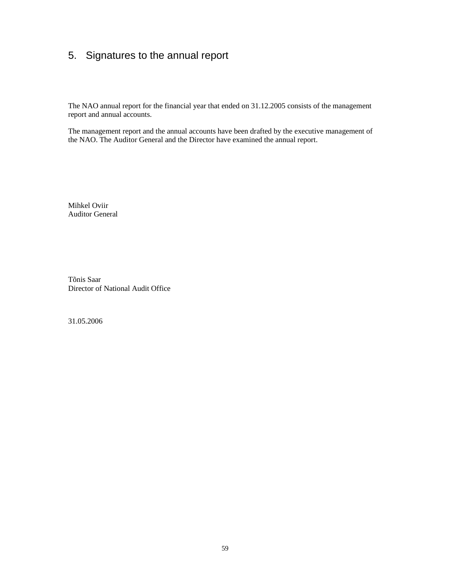# 5. Signatures to the annual report

The NAO annual report for the financial year that ended on 31.12.2005 consists of the management report and annual accounts.

The management report and the annual accounts have been drafted by the executive management of the NAO. The Auditor General and the Director have examined the annual report.

Mihkel Oviir Auditor General

Tõnis Saar Director of National Audit Office

31.05.2006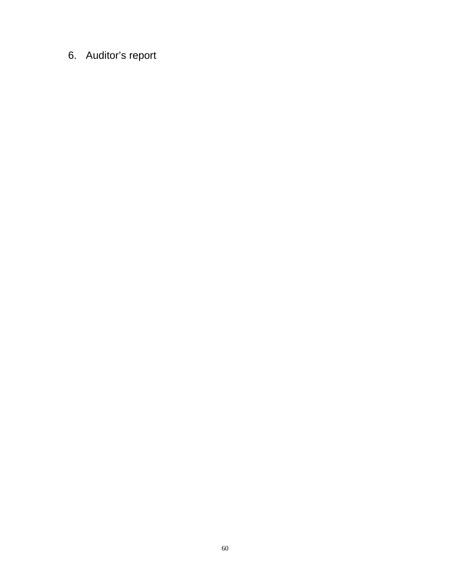# 6. Auditor's report